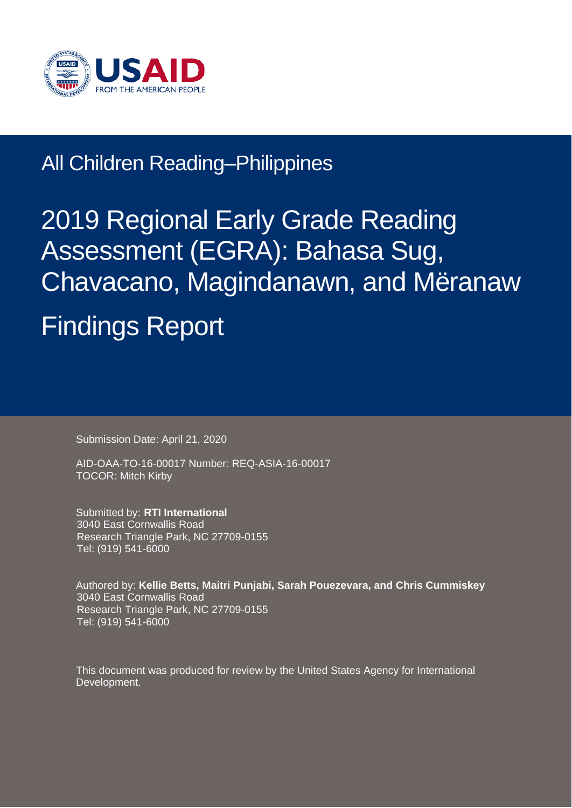

# All Children Reading–Philippines

# 2019 Regional Early Grade Reading Assessment (EGRA): Bahasa Sug, Chavacano, Magindanawn, and Mëranaw Findings Report

Submission Date: April 21, 2020

AID-OAA-TO-16-00017 Number: REQ-ASIA-16-00017 TOCOR: Mitch Kirby

Submitted by: **RTI International** 3040 East Cornwallis Road Research Triangle Park, NC 27709-0155 Tel: (919) 541-6000

Authored by: **Kellie Betts, Maitri Punjabi, Sarah Pouezevara, and Chris Cummiskey** 3040 East Cornwallis Road Research Triangle Park, NC 27709-0155 Tel: (919) 541-6000

This document was produced for review by the United States Agency for International Development.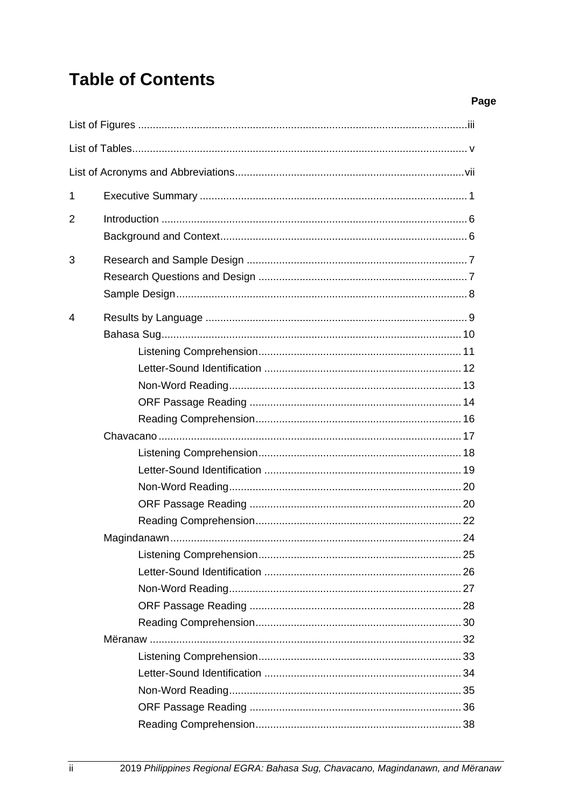### **Table of Contents**

| 1 |  |
|---|--|
| 2 |  |
|   |  |
|   |  |
| 3 |  |
|   |  |
|   |  |
| 4 |  |
|   |  |
|   |  |
|   |  |
|   |  |
|   |  |
|   |  |
|   |  |
|   |  |
|   |  |
|   |  |
|   |  |
|   |  |
|   |  |
|   |  |
|   |  |
|   |  |
|   |  |
|   |  |
|   |  |
|   |  |
|   |  |
|   |  |
|   |  |
|   |  |

Page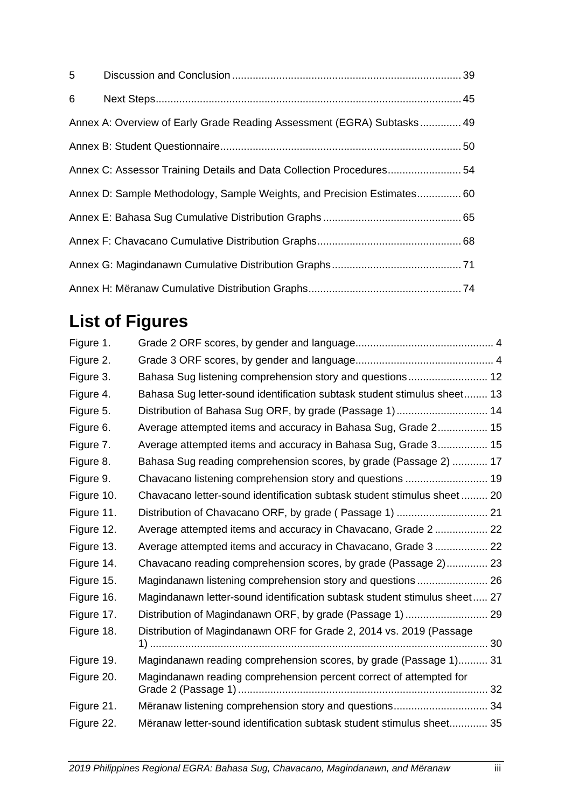| 6 |                                                                         |  |
|---|-------------------------------------------------------------------------|--|
|   | Annex A: Overview of Early Grade Reading Assessment (EGRA) Subtasks 49  |  |
|   |                                                                         |  |
|   | Annex C: Assessor Training Details and Data Collection Procedures 54    |  |
|   | Annex D: Sample Methodology, Sample Weights, and Precision Estimates 60 |  |
|   |                                                                         |  |
|   |                                                                         |  |
|   |                                                                         |  |
|   |                                                                         |  |

# <span id="page-2-0"></span>**List of Figures**

| Figure 1.  |                                                                           |  |
|------------|---------------------------------------------------------------------------|--|
| Figure 2.  |                                                                           |  |
| Figure 3.  | Bahasa Sug listening comprehension story and questions 12                 |  |
| Figure 4.  | Bahasa Sug letter-sound identification subtask student stimulus sheet 13  |  |
| Figure 5.  | Distribution of Bahasa Sug ORF, by grade (Passage 1) 14                   |  |
| Figure 6.  | Average attempted items and accuracy in Bahasa Sug, Grade 2 15            |  |
| Figure 7.  | Average attempted items and accuracy in Bahasa Sug, Grade 3 15            |  |
| Figure 8.  | Bahasa Sug reading comprehension scores, by grade (Passage 2)  17         |  |
| Figure 9.  | Chavacano listening comprehension story and questions  19                 |  |
| Figure 10. | Chavacano letter-sound identification subtask student stimulus sheet 20   |  |
| Figure 11. |                                                                           |  |
| Figure 12. | Average attempted items and accuracy in Chavacano, Grade 2  22            |  |
| Figure 13. | Average attempted items and accuracy in Chavacano, Grade 3  22            |  |
| Figure 14. | Chavacano reading comprehension scores, by grade (Passage 2) 23           |  |
| Figure 15. | Magindanawn listening comprehension story and questions  26               |  |
| Figure 16. | Magindanawn letter-sound identification subtask student stimulus sheet 27 |  |
| Figure 17. |                                                                           |  |
| Figure 18. | Distribution of Magindanawn ORF for Grade 2, 2014 vs. 2019 (Passage       |  |
|            |                                                                           |  |
| Figure 19. | Magindanawn reading comprehension scores, by grade (Passage 1) 31         |  |
| Figure 20. | Magindanawn reading comprehension percent correct of attempted for        |  |
| Figure 21. | Mëranaw listening comprehension story and questions 34                    |  |
| Figure 22. | Mëranaw letter-sound identification subtask student stimulus sheet 35     |  |
|            |                                                                           |  |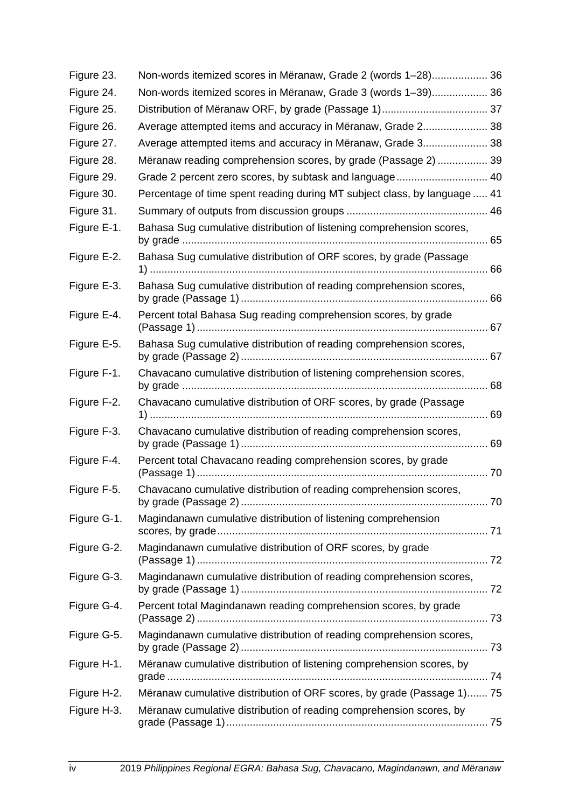| Figure 23.  | Non-words itemized scores in Mëranaw, Grade 2 (words 1–28) 36             |
|-------------|---------------------------------------------------------------------------|
| Figure 24.  | Non-words itemized scores in Mëranaw, Grade 3 (words 1-39) 36             |
| Figure 25.  |                                                                           |
| Figure 26.  | Average attempted items and accuracy in Meranaw, Grade 2 38               |
| Figure 27.  | Average attempted items and accuracy in Meranaw, Grade 3 38               |
| Figure 28.  | Mëranaw reading comprehension scores, by grade (Passage 2)  39            |
| Figure 29.  | Grade 2 percent zero scores, by subtask and language 40                   |
| Figure 30.  | Percentage of time spent reading during MT subject class, by language  41 |
| Figure 31.  |                                                                           |
| Figure E-1. | Bahasa Sug cumulative distribution of listening comprehension scores,     |
| Figure E-2. | Bahasa Sug cumulative distribution of ORF scores, by grade (Passage       |
| Figure E-3. | Bahasa Sug cumulative distribution of reading comprehension scores,       |
| Figure E-4. | Percent total Bahasa Sug reading comprehension scores, by grade           |
| Figure E-5. | Bahasa Sug cumulative distribution of reading comprehension scores,       |
| Figure F-1. | Chavacano cumulative distribution of listening comprehension scores,      |
| Figure F-2. | Chavacano cumulative distribution of ORF scores, by grade (Passage        |
| Figure F-3. | Chavacano cumulative distribution of reading comprehension scores,        |
| Figure F-4. | Percent total Chavacano reading comprehension scores, by grade            |
| Figure F-5. | Chavacano cumulative distribution of reading comprehension scores,        |
| Figure G-1. | Magindanawn cumulative distribution of listening comprehension            |
| Figure G-2. | Magindanawn cumulative distribution of ORF scores, by grade               |
| Figure G-3. | Magindanawn cumulative distribution of reading comprehension scores,      |
| Figure G-4. | Percent total Magindanawn reading comprehension scores, by grade          |
| Figure G-5. | Magindanawn cumulative distribution of reading comprehension scores,      |
| Figure H-1. | Mëranaw cumulative distribution of listening comprehension scores, by     |
| Figure H-2. | Mëranaw cumulative distribution of ORF scores, by grade (Passage 1) 75    |
| Figure H-3. | Mëranaw cumulative distribution of reading comprehension scores, by       |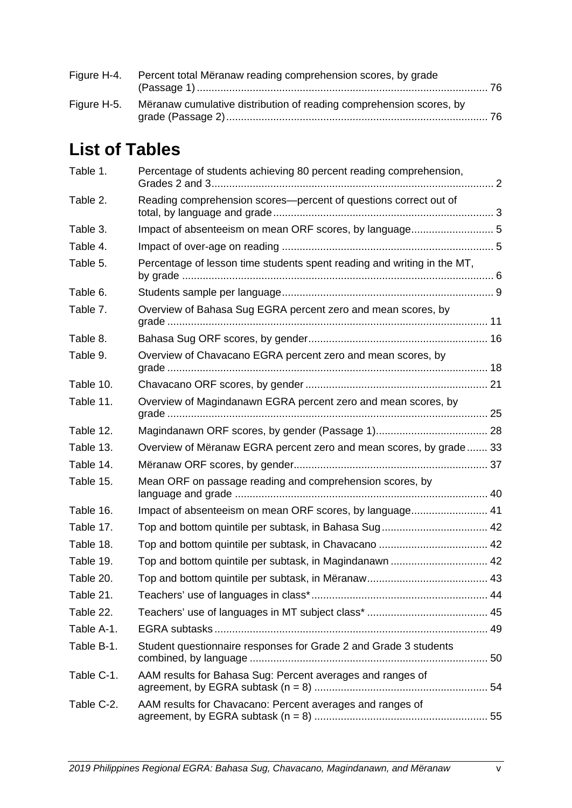| Figure H-4. Percent total Meranaw reading comprehension scores, by grade        |  |
|---------------------------------------------------------------------------------|--|
| Figure H-5. Mëranaw cumulative distribution of reading comprehension scores, by |  |

## <span id="page-4-0"></span>**List of Tables**

| Table 1.   | Percentage of students achieving 80 percent reading comprehension,      |  |
|------------|-------------------------------------------------------------------------|--|
| Table 2.   | Reading comprehension scores-percent of questions correct out of        |  |
| Table 3.   | Impact of absenteeism on mean ORF scores, by language 5                 |  |
| Table 4.   |                                                                         |  |
| Table 5.   | Percentage of lesson time students spent reading and writing in the MT, |  |
| Table 6.   |                                                                         |  |
| Table 7.   | Overview of Bahasa Sug EGRA percent zero and mean scores, by            |  |
| Table 8.   |                                                                         |  |
| Table 9.   | Overview of Chavacano EGRA percent zero and mean scores, by             |  |
| Table 10.  |                                                                         |  |
| Table 11.  | Overview of Magindanawn EGRA percent zero and mean scores, by           |  |
| Table 12.  |                                                                         |  |
| Table 13.  | Overview of Mëranaw EGRA percent zero and mean scores, by grade 33      |  |
| Table 14.  |                                                                         |  |
| Table 15.  | Mean ORF on passage reading and comprehension scores, by                |  |
| Table 16.  | Impact of absenteeism on mean ORF scores, by language 41                |  |
| Table 17.  |                                                                         |  |
| Table 18.  |                                                                         |  |
| Table 19.  | Top and bottom quintile per subtask, in Magindanawn  42                 |  |
| Table 20.  |                                                                         |  |
| Table 21.  |                                                                         |  |
| Table 22.  |                                                                         |  |
| Table A-1. |                                                                         |  |
| Table B-1. | Student questionnaire responses for Grade 2 and Grade 3 students        |  |
| Table C-1. | AAM results for Bahasa Sug: Percent averages and ranges of              |  |
| Table C-2. | AAM results for Chavacano: Percent averages and ranges of               |  |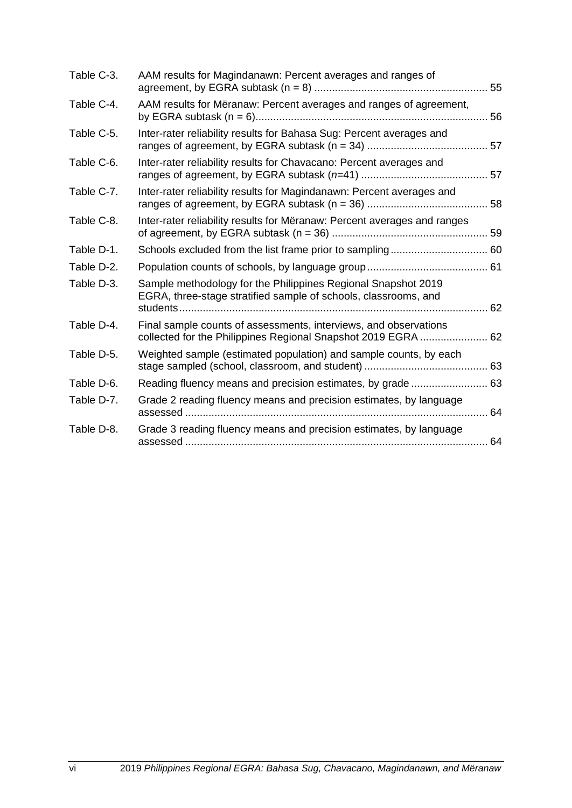| Table C-3. | AAM results for Magindanawn: Percent averages and ranges of                                                                       |  |
|------------|-----------------------------------------------------------------------------------------------------------------------------------|--|
| Table C-4. | AAM results for Meranaw: Percent averages and ranges of agreement,                                                                |  |
| Table C-5. | Inter-rater reliability results for Bahasa Sug: Percent averages and                                                              |  |
| Table C-6. | Inter-rater reliability results for Chavacano: Percent averages and                                                               |  |
| Table C-7. | Inter-rater reliability results for Magindanawn: Percent averages and                                                             |  |
| Table C-8. | Inter-rater reliability results for Mëranaw: Percent averages and ranges                                                          |  |
| Table D-1. |                                                                                                                                   |  |
| Table D-2. |                                                                                                                                   |  |
| Table D-3. | Sample methodology for the Philippines Regional Snapshot 2019<br>EGRA, three-stage stratified sample of schools, classrooms, and  |  |
| Table D-4. | Final sample counts of assessments, interviews, and observations<br>collected for the Philippines Regional Snapshot 2019 EGRA  62 |  |
| Table D-5. | Weighted sample (estimated population) and sample counts, by each                                                                 |  |
| Table D-6. | Reading fluency means and precision estimates, by grade  63                                                                       |  |
| Table D-7. | Grade 2 reading fluency means and precision estimates, by language                                                                |  |
| Table D-8. | Grade 3 reading fluency means and precision estimates, by language                                                                |  |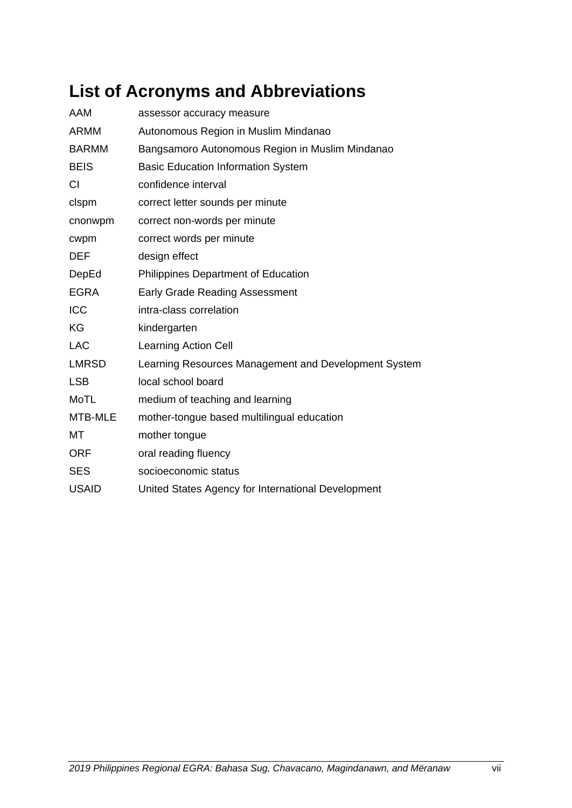### <span id="page-6-0"></span>**List of Acronyms and Abbreviations**

| AAM          | assessor accuracy measure                            |
|--------------|------------------------------------------------------|
| <b>ARMM</b>  | Autonomous Region in Muslim Mindanao                 |
| <b>BARMM</b> | Bangsamoro Autonomous Region in Muslim Mindanao      |
| <b>BEIS</b>  | <b>Basic Education Information System</b>            |
| <b>CI</b>    | confidence interval                                  |
| clspm        | correct letter sounds per minute                     |
| cnonwpm      | correct non-words per minute                         |
| cwpm         | correct words per minute                             |
| <b>DEF</b>   | design effect                                        |
| DepEd        | Philippines Department of Education                  |
| <b>EGRA</b>  | <b>Early Grade Reading Assessment</b>                |
| ICC          | intra-class correlation                              |
| KG           | kindergarten                                         |
| <b>LAC</b>   | <b>Learning Action Cell</b>                          |
| <b>LMRSD</b> | Learning Resources Management and Development System |
| <b>LSB</b>   | local school board                                   |
| <b>MoTL</b>  | medium of teaching and learning                      |
| MTB-MLE      | mother-tongue based multilingual education           |
| МT           | mother tongue                                        |
| <b>ORF</b>   | oral reading fluency                                 |
| <b>SES</b>   | socioeconomic status                                 |
| <b>USAID</b> | United States Agency for International Development   |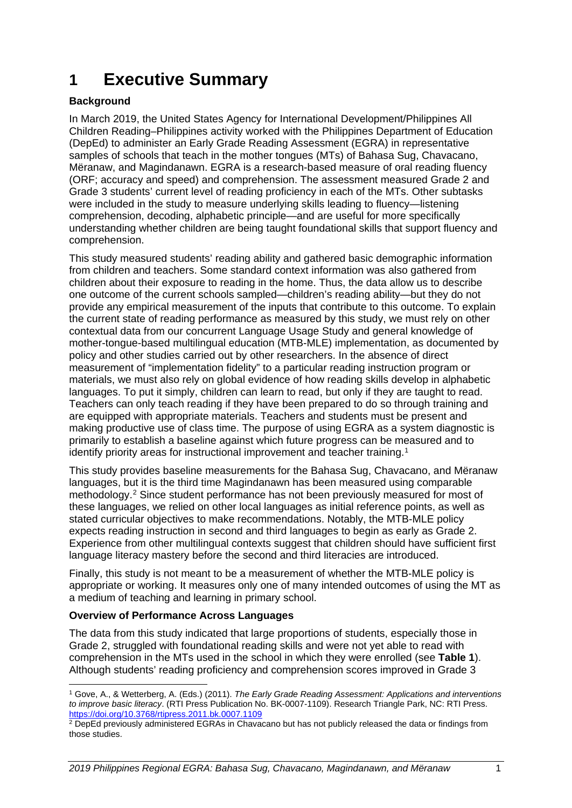### <span id="page-8-0"></span>**1 Executive Summary**

#### **Background**

In March 2019, the United States Agency for International Development/Philippines All Children Reading–Philippines activity worked with the Philippines Department of Education (DepEd) to administer an Early Grade Reading Assessment (EGRA) in representative samples of schools that teach in the mother tongues (MTs) of Bahasa Sug, Chavacano, Mëranaw, and Magindanawn. EGRA is a research-based measure of oral reading fluency (ORF; accuracy and speed) and comprehension. The assessment measured Grade 2 and Grade 3 students' current level of reading proficiency in each of the MTs. Other subtasks were included in the study to measure underlying skills leading to fluency—listening comprehension, decoding, alphabetic principle—and are useful for more specifically understanding whether children are being taught foundational skills that support fluency and comprehension.

This study measured students' reading ability and gathered basic demographic information from children and teachers. Some standard context information was also gathered from children about their exposure to reading in the home. Thus, the data allow us to describe one outcome of the current schools sampled—children's reading ability—but they do not provide any empirical measurement of the inputs that contribute to this outcome. To explain the current state of reading performance as measured by this study, we must rely on other contextual data from our concurrent Language Usage Study and general knowledge of mother-tongue-based multilingual education (MTB-MLE) implementation, as documented by policy and other studies carried out by other researchers. In the absence of direct measurement of "implementation fidelity" to a particular reading instruction program or materials, we must also rely on global evidence of how reading skills develop in alphabetic languages. To put it simply, children can learn to read, but only if they are taught to read. Teachers can only teach reading if they have been prepared to do so through training and are equipped with appropriate materials. Teachers and students must be present and making productive use of class time. The purpose of using EGRA as a system diagnostic is primarily to establish a baseline against which future progress can be measured and to identify priority areas for instructional improvement and teacher training.<sup>[1](#page-8-1)</sup>

This study provides baseline measurements for the Bahasa Sug, Chavacano, and Mëranaw languages, but it is the third time Magindanawn has been measured using comparable methodology.[2](#page-8-2) Since student performance has not been previously measured for most of these languages, we relied on other local languages as initial reference points, as well as stated curricular objectives to make recommendations. Notably, the MTB-MLE policy expects reading instruction in second and third languages to begin as early as Grade 2. Experience from other multilingual contexts suggest that children should have sufficient first language literacy mastery before the second and third literacies are introduced.

Finally, this study is not meant to be a measurement of whether the MTB-MLE policy is appropriate or working. It measures only one of many intended outcomes of using the MT as a medium of teaching and learning in primary school.

#### **Overview of Performance Across Languages**

The data from this study indicated that large proportions of students, especially those in Grade 2, struggled with foundational reading skills and were not yet able to read with comprehension in the MTs used in the school in which they were enrolled (see **[Table 1](#page-9-0)**). Although students' reading proficiency and comprehension scores improved in Grade 3

<span id="page-8-1"></span><sup>1</sup> Gove, A., & Wetterberg, A. (Eds.) (2011). *The Early Grade Reading Assessment: Applications and interventions to improve basic literacy*. (RTI Press Publication No. BK-0007-1109). Research Triangle Park, NC: RTI Press. <https://doi.org/10.3768/rtipress.2011.bk.0007.1109>

<span id="page-8-2"></span><sup>&</sup>lt;sup>2</sup> DepEd previously administered EGRAs in Chavacano but has not publicly released the data or findings from those studies.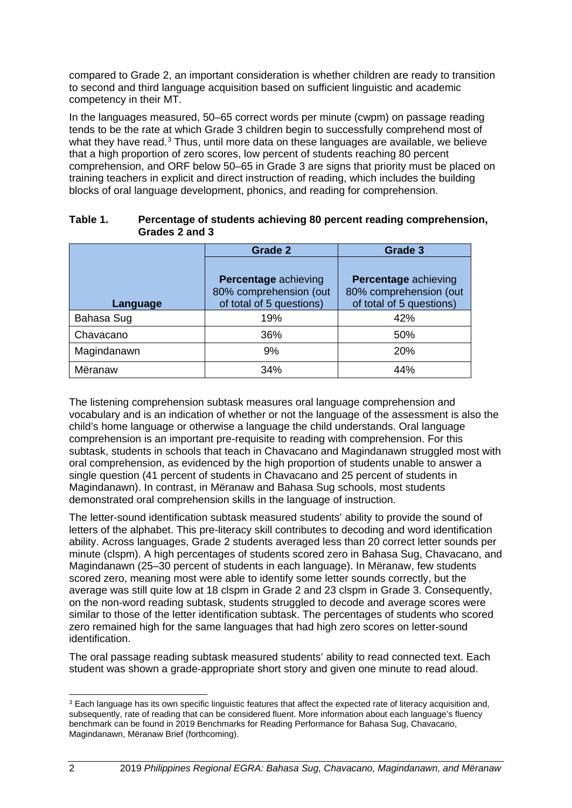compared to Grade 2, an important consideration is whether children are ready to transition to second and third language acquisition based on sufficient linguistic and academic competency in their MT.

In the languages measured, 50–65 correct words per minute (cwpm) on passage reading tends to be the rate at which Grade 3 children begin to successfully comprehend most of what they have read.<sup>[3](#page-9-1)</sup> Thus, until more data on these languages are available, we believe that a high proportion of zero scores, low percent of students reaching 80 percent comprehension, and ORF below 50–65 in Grade 3 are signs that priority must be placed on training teachers in explicit and direct instruction of reading, which includes the building blocks of oral language development, phonics, and reading for comprehension.

|             | Grade 2                                                                           | Grade 3                                                                           |  |
|-------------|-----------------------------------------------------------------------------------|-----------------------------------------------------------------------------------|--|
| Language    | <b>Percentage achieving</b><br>80% comprehension (out<br>of total of 5 questions) | <b>Percentage achieving</b><br>80% comprehension (out<br>of total of 5 questions) |  |
| Bahasa Sug  | 19%                                                                               | 42%                                                                               |  |
| Chavacano   | 36%                                                                               | 50%                                                                               |  |
| Magindanawn | 9%                                                                                | 20%                                                                               |  |
| Mëranaw     | 34%                                                                               | 44%                                                                               |  |

#### <span id="page-9-0"></span>**Table 1. Percentage of students achieving 80 percent reading comprehension, Grades 2 and 3**

The listening comprehension subtask measures oral language comprehension and vocabulary and is an indication of whether or not the language of the assessment is also the child's home language or otherwise a language the child understands. Oral language comprehension is an important pre-requisite to reading with comprehension. For this subtask, students in schools that teach in Chavacano and Magindanawn struggled most with oral comprehension, as evidenced by the high proportion of students unable to answer a single question (41 percent of students in Chavacano and 25 percent of students in Magindanawn). In contrast, in Mëranaw and Bahasa Sug schools, most students demonstrated oral comprehension skills in the language of instruction.

The letter-sound identification subtask measured students' ability to provide the sound of letters of the alphabet. This pre-literacy skill contributes to decoding and word identification ability. Across languages, Grade 2 students averaged less than 20 correct letter sounds per minute (clspm). A high percentages of students scored zero in Bahasa Sug, Chavacano, and Magindanawn (25–30 percent of students in each language). In Mëranaw, few students scored zero, meaning most were able to identify some letter sounds correctly, but the average was still quite low at 18 clspm in Grade 2 and 23 clspm in Grade 3. Consequently, on the non-word reading subtask, students struggled to decode and average scores were similar to those of the letter identification subtask. The percentages of students who scored zero remained high for the same languages that had high zero scores on letter-sound identification.

The oral passage reading subtask measured students' ability to read connected text. Each student was shown a grade-appropriate short story and given one minute to read aloud.

<span id="page-9-1"></span><sup>&</sup>lt;sup>3</sup> Each language has its own specific linguistic features that affect the expected rate of literacy acquisition and, subsequently, rate of reading that can be considered fluent. More information about each language's fluency benchmark can be found in 2019 Benchmarks for Reading Performance for Bahasa Sug, Chavacano, Magindanawn, Mëranaw Brief (forthcoming).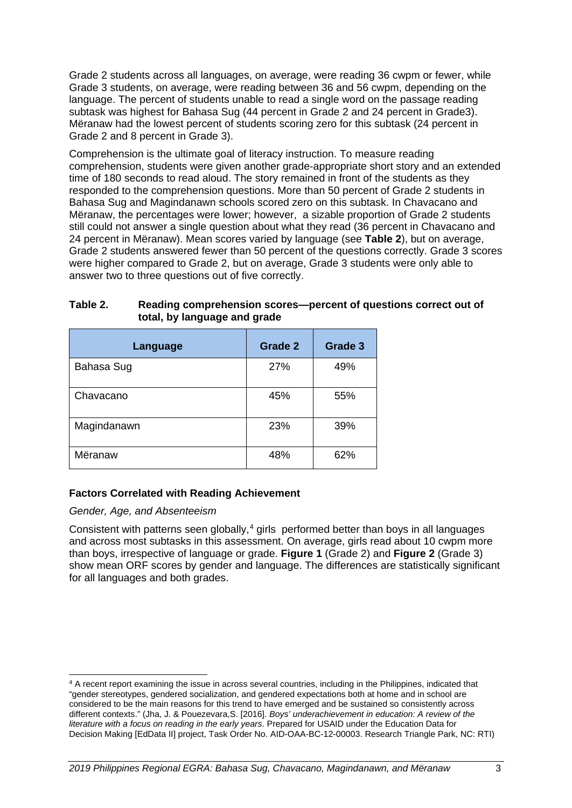Grade 2 students across all languages, on average, were reading 36 cwpm or fewer, while Grade 3 students, on average, were reading between 36 and 56 cwpm, depending on the language. The percent of students unable to read a single word on the passage reading subtask was highest for Bahasa Sug (44 percent in Grade 2 and 24 percent in Grade3). Mëranaw had the lowest percent of students scoring zero for this subtask (24 percent in Grade 2 and 8 percent in Grade 3).

Comprehension is the ultimate goal of literacy instruction. To measure reading comprehension, students were given another grade-appropriate short story and an extended time of 180 seconds to read aloud. The story remained in front of the students as they responded to the comprehension questions. More than 50 percent of Grade 2 students in Bahasa Sug and Magindanawn schools scored zero on this subtask. In Chavacano and Mëranaw, the percentages were lower; however, a sizable proportion of Grade 2 students still could not answer a single question about what they read (36 percent in Chavacano and 24 percent in Mëranaw). Mean scores varied by language (see **[Table 2](#page-10-0)**), but on average, Grade 2 students answered fewer than 50 percent of the questions correctly. Grade 3 scores were higher compared to Grade 2, but on average, Grade 3 students were only able to answer two to three questions out of five correctly.

| Language    | Grade 2 | <b>Grade 3</b> |
|-------------|---------|----------------|
| Bahasa Sug  | 27%     | 49%            |
| Chavacano   | 45%     | 55%            |
| Magindanawn | 23%     | 39%            |
| Mëranaw     | 48%     | 62%            |

#### <span id="page-10-0"></span>**Table 2. Reading comprehension scores—percent of questions correct out of total, by language and grade**

#### **Factors Correlated with Reading Achievement**

#### *Gender, Age, and Absenteeism*

Consistent with patterns seen globally,<sup>[4](#page-10-1)</sup> girls performed better than boys in all languages and across most subtasks in this assessment. On average, girls read about 10 cwpm more than boys, irrespective of language or grade. **[Figure 1](#page-11-0)** (Grade 2) and **[Figure 2](#page-11-1)** (Grade 3) show mean ORF scores by gender and language. The differences are statistically significant for all languages and both grades.

<span id="page-10-1"></span><sup>4</sup> A recent report examining the issue in across several countries, including in the Philippines, indicated that "gender stereotypes, gendered socialization, and gendered expectations both at home and in school are considered to be the main reasons for this trend to have emerged and be sustained so consistently across different contexts." (Jha, J. & Pouezevara,S. [2016]. *Boys' underachievement in education: A review of the literature with a focus on reading in the early years*. Prepared for USAID under the Education Data for Decision Making [EdData II] project, Task Order No. AID-OAA-BC-12-00003. Research Triangle Park, NC: RTI)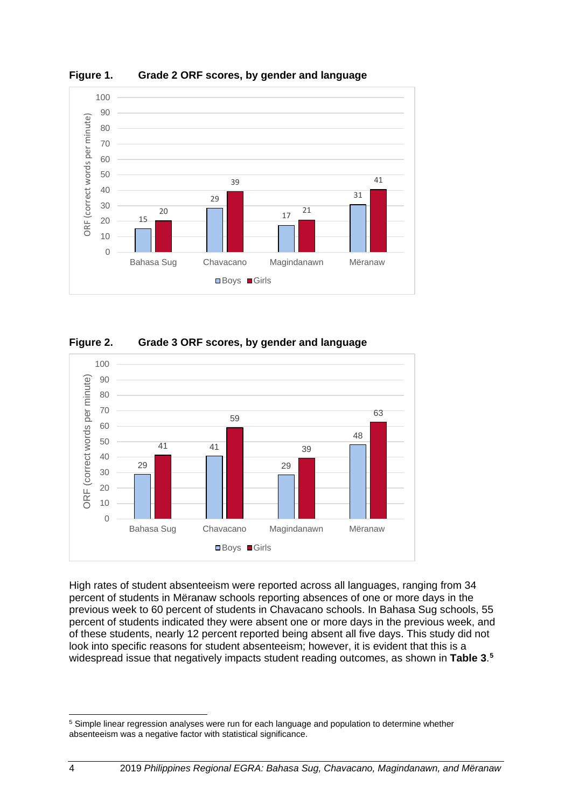

<span id="page-11-0"></span>**Figure 1. Grade 2 ORF scores, by gender and language**

<span id="page-11-1"></span>



High rates of student absenteeism were reported across all languages, ranging from 34 percent of students in Mëranaw schools reporting absences of one or more days in the previous week to 60 percent of students in Chavacano schools. In Bahasa Sug schools, 55 percent of students indicated they were absent one or more days in the previous week, and of these students, nearly 12 percent reported being absent all five days. This study did not look into specific reasons for student absenteeism; however, it is evident that this is a widespread issue that negatively impacts student reading outcomes, as shown in **[Table 3](#page-12-0)**. **[5](#page-11-2)**

<span id="page-11-2"></span> Simple linear regression analyses were run for each language and population to determine whether absenteeism was a negative factor with statistical significance.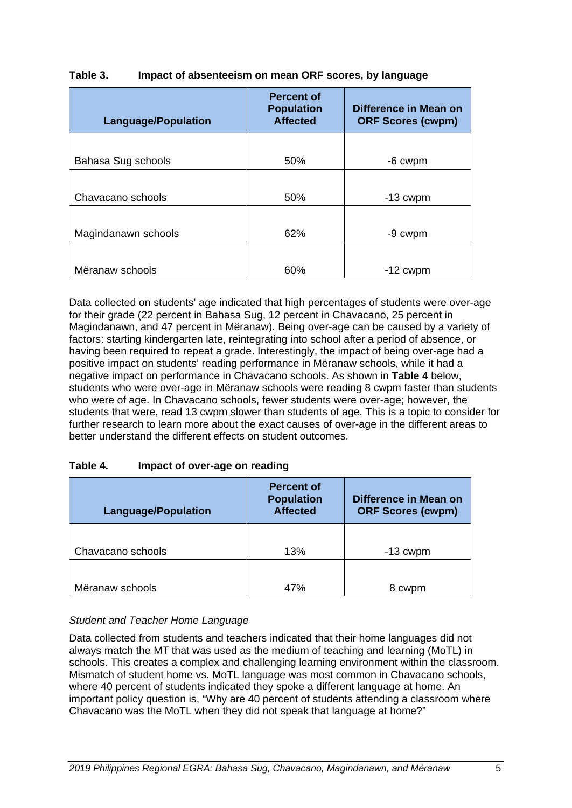#### <span id="page-12-0"></span>**Table 3. Impact of absenteeism on mean ORF scores, by language**

| <b>Language/Population</b> | <b>Percent of</b><br><b>Population</b><br><b>Affected</b> | Difference in Mean on<br><b>ORF Scores (cwpm)</b> |
|----------------------------|-----------------------------------------------------------|---------------------------------------------------|
|                            |                                                           |                                                   |
| Bahasa Sug schools         | 50%                                                       | -6 cwpm                                           |
|                            |                                                           |                                                   |
| Chavacano schools          | 50%                                                       | $-13$ cwpm                                        |
|                            |                                                           |                                                   |
| Magindanawn schools        | 62%                                                       | -9 cwpm                                           |
|                            |                                                           |                                                   |
| Mëranaw schools            | 60%                                                       | $-12$ cwpm                                        |

Data collected on students' age indicated that high percentages of students were over-age for their grade (22 percent in Bahasa Sug, 12 percent in Chavacano, 25 percent in Magindanawn, and 47 percent in Mëranaw). Being over-age can be caused by a variety of factors: starting kindergarten late, reintegrating into school after a period of absence, or having been required to repeat a grade. Interestingly, the impact of being over-age had a positive impact on students' reading performance in Mëranaw schools, while it had a negative impact on performance in Chavacano schools. As shown in **[Table 4](#page-12-1)** below, students who were over-age in Mëranaw schools were reading 8 cwpm faster than students who were of age. In Chavacano schools, fewer students were over-age; however, the students that were, read 13 cwpm slower than students of age. This is a topic to consider for further research to learn more about the exact causes of over-age in the different areas to better understand the different effects on student outcomes.

#### <span id="page-12-1"></span>**Table 4. Impact of over-age on reading**

| <b>Language/Population</b> | <b>Percent of</b><br><b>Population</b><br><b>Affected</b> | <b>Difference in Mean on</b><br><b>ORF Scores (cwpm)</b> |
|----------------------------|-----------------------------------------------------------|----------------------------------------------------------|
| Chavacano schools          | 13%                                                       | $-13$ cwpm                                               |
| Mëranaw schools            | 47%                                                       | 8 cwpm                                                   |

#### *Student and Teacher Home Language*

Data collected from students and teachers indicated that their home languages did not always match the MT that was used as the medium of teaching and learning (MoTL) in schools. This creates a complex and challenging learning environment within the classroom. Mismatch of student home vs. MoTL language was most common in Chavacano schools, where 40 percent of students indicated they spoke a different language at home. An important policy question is, "Why are 40 percent of students attending a classroom where Chavacano was the MoTL when they did not speak that language at home?"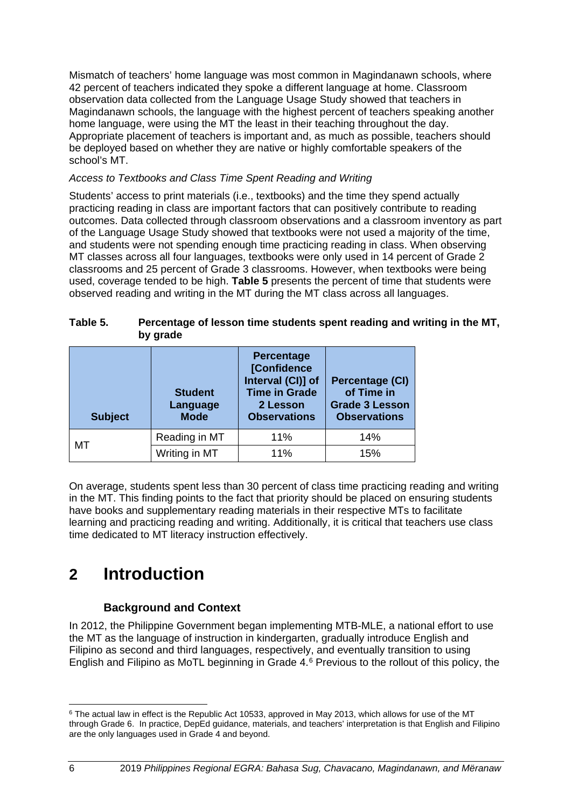Mismatch of teachers' home language was most common in Magindanawn schools, where 42 percent of teachers indicated they spoke a different language at home. Classroom observation data collected from the Language Usage Study showed that teachers in Magindanawn schools, the language with the highest percent of teachers speaking another home language, were using the MT the least in their teaching throughout the day. Appropriate placement of teachers is important and, as much as possible, teachers should be deployed based on whether they are native or highly comfortable speakers of the school's MT.

#### *Access to Textbooks and Class Time Spent Reading and Writing*

Students' access to print materials (i.e., textbooks) and the time they spend actually practicing reading in class are important factors that can positively contribute to reading outcomes. Data collected through classroom observations and a classroom inventory as part of the Language Usage Study showed that textbooks were not used a majority of the time, and students were not spending enough time practicing reading in class. When observing MT classes across all four languages, textbooks were only used in 14 percent of Grade 2 classrooms and 25 percent of Grade 3 classrooms. However, when textbooks were being used, coverage tended to be high. **[Table 5](#page-13-2)** presents the percent of time that students were observed reading and writing in the MT during the MT class across all languages.

#### <span id="page-13-2"></span>**Table 5. Percentage of lesson time students spent reading and writing in the MT, by grade**

| <b>Subject</b> | <b>Student</b><br>Language<br><b>Mode</b> | <b>Percentage</b><br>[Confidence<br>Interval (CI)] of<br><b>Time in Grade</b><br>2 Lesson<br><b>Observations</b> | Percentage (CI)<br>of Time in<br><b>Grade 3 Lesson</b><br><b>Observations</b> |
|----------------|-------------------------------------------|------------------------------------------------------------------------------------------------------------------|-------------------------------------------------------------------------------|
|                | Reading in MT                             | 11%                                                                                                              | 14%                                                                           |
| МT             | Writing in MT                             | 11%                                                                                                              | 15%                                                                           |

On average, students spent less than 30 percent of class time practicing reading and writing in the MT. This finding points to the fact that priority should be placed on ensuring students have books and supplementary reading materials in their respective MTs to facilitate learning and practicing reading and writing. Additionally, it is critical that teachers use class time dedicated to MT literacy instruction effectively.

### <span id="page-13-1"></span><span id="page-13-0"></span>**2 Introduction**

#### **Background and Context**

In 2012, the Philippine Government began implementing MTB-MLE, a national effort to use the MT as the language of instruction in kindergarten, gradually introduce English and Filipino as second and third languages, respectively, and eventually transition to using English and Filipino as MoTL beginning in Grade 4.[6](#page-13-3) Previous to the rollout of this policy, the

<span id="page-13-3"></span><sup>&</sup>lt;sup>6</sup> The actual law in effect is the [Republic Act 10533,](http://www.unesco.org/education/edurights/media/docs/e119986abbd26ebda9c3d8c18929b4487205d4d6.pdf) approved in May 2013, which allows for use of the MT through Grade 6. In practice, DepEd guidance, materials, and teachers' interpretation is that English and Filipino are the only languages used in Grade 4 and beyond.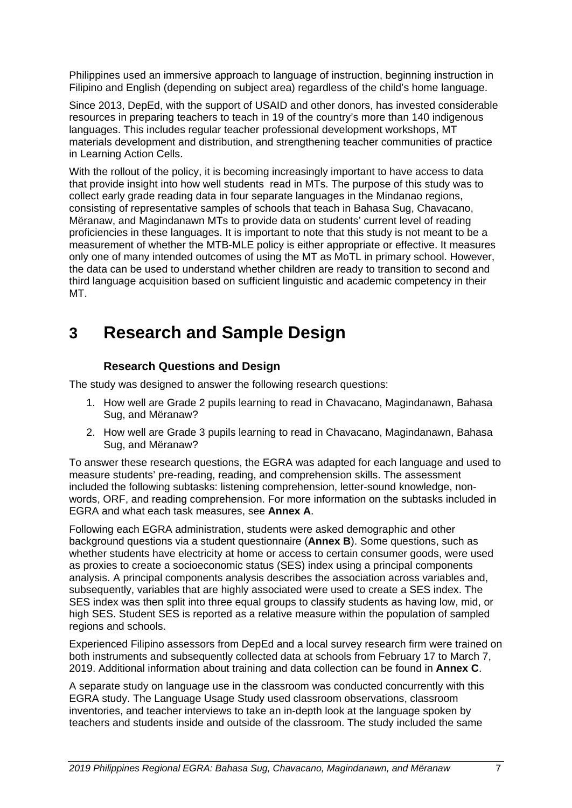Philippines used an immersive approach to language of instruction, beginning instruction in Filipino and English (depending on subject area) regardless of the child's home language.

Since 2013, DepEd, with the support of USAID and other donors, has invested considerable resources in preparing teachers to teach in 19 of the country's more than 140 indigenous languages. This includes regular teacher professional development workshops, MT materials development and distribution, and strengthening teacher communities of practice in Learning Action Cells.

With the rollout of the policy, it is becoming increasingly important to have access to data that provide insight into how well students read in MTs. The purpose of this study was to collect early grade reading data in four separate languages in the Mindanao regions, consisting of representative samples of schools that teach in Bahasa Sug, Chavacano, Mëranaw, and Magindanawn MTs to provide data on students' current level of reading proficiencies in these languages. It is important to note that this study is not meant to be a measurement of whether the MTB-MLE policy is either appropriate or effective. It measures only one of many intended outcomes of using the MT as MoTL in primary school. However, the data can be used to understand whether children are ready to transition to second and third language acquisition based on sufficient linguistic and academic competency in their MT.

### <span id="page-14-1"></span><span id="page-14-0"></span>**3 Research and Sample Design**

#### **Research Questions and Design**

The study was designed to answer the following research questions:

- 1. How well are Grade 2 pupils learning to read in Chavacano, Magindanawn, Bahasa Sug, and Mëranaw?
- 2. How well are Grade 3 pupils learning to read in Chavacano, Magindanawn, Bahasa Sug, and Mëranaw?

To answer these research questions, the EGRA was adapted for each language and used to measure students' pre-reading, reading, and comprehension skills. The assessment included the following subtasks: listening comprehension, letter-sound knowledge, nonwords, ORF, and reading comprehension. For more information on the subtasks included in EGRA and what each task measures, see **Annex A**.

Following each EGRA administration, students were asked demographic and other background questions via a student questionnaire (**Annex B**). Some questions, such as whether students have electricity at home or access to certain consumer goods, were used as proxies to create a socioeconomic status (SES) index using a principal components analysis. A principal components analysis describes the association across variables and, subsequently, variables that are highly associated were used to create a SES index. The SES index was then split into three equal groups to classify students as having low, mid, or high SES. Student SES is reported as a relative measure within the population of sampled regions and schools.

Experienced Filipino assessors from DepEd and a local survey research firm were trained on both instruments and subsequently collected data at schools from February 17 to March 7, 2019. Additional information about training and data collection can be found in **Annex C**.

A separate study on language use in the classroom was conducted concurrently with this EGRA study. The Language Usage Study used classroom observations, classroom inventories, and teacher interviews to take an in-depth look at the language spoken by teachers and students inside and outside of the classroom. The study included the same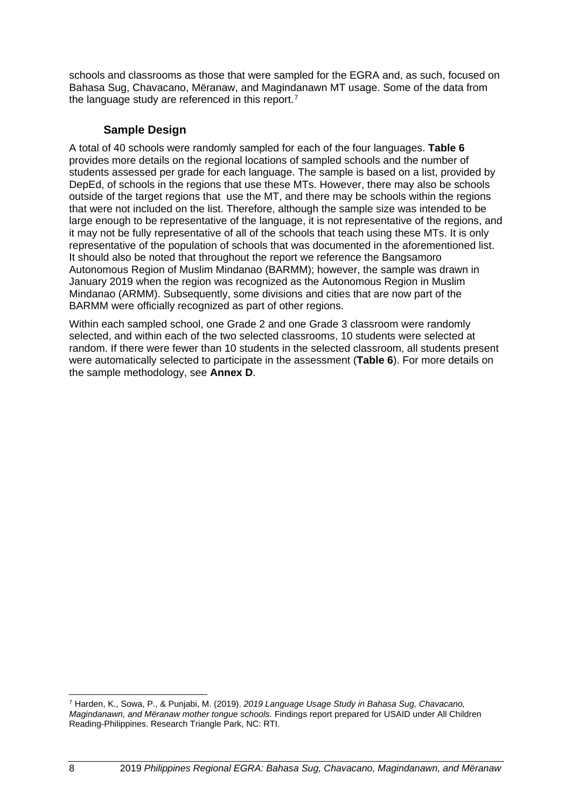schools and classrooms as those that were sampled for the EGRA and, as such, focused on Bahasa Sug, Chavacano, Mëranaw, and Magindanawn MT usage. Some of the data from the language study are referenced in this report.<sup>[7](#page-15-1)</sup>

#### **Sample Design**

<span id="page-15-0"></span>A total of 40 schools were randomly sampled for each of the four languages. **[Table 6](#page-16-1)** provides more details on the regional locations of sampled schools and the number of students assessed per grade for each language. The sample is based on a list, provided by DepEd, of schools in the regions that use these MTs. However, there may also be schools outside of the target regions that use the MT, and there may be schools within the regions that were not included on the list. Therefore, although the sample size was intended to be large enough to be representative of the language, it is not representative of the regions, and it may not be fully representative of all of the schools that teach using these MTs. It is only representative of the population of schools that was documented in the aforementioned list. It should also be noted that throughout the report we reference the Bangsamoro Autonomous Region of Muslim Mindanao (BARMM); however, the sample was drawn in January 2019 when the region was recognized as the Autonomous Region in Muslim Mindanao (ARMM). Subsequently, some divisions and cities that are now part of the BARMM were officially recognized as part of other regions.

Within each sampled school, one Grade 2 and one Grade 3 classroom were randomly selected, and within each of the two selected classrooms, 10 students were selected at random. If there were fewer than 10 students in the selected classroom, all students present were automatically selected to participate in the assessment (**Table 6**). For more details on the sample methodology, see **Annex D**.

<span id="page-15-1"></span><sup>7</sup> Harden, K., Sowa, P., & Punjabi, M. (2019). *2019 Language Usage Study in Bahasa Sug, Chavacano, Magindanawn, and Mëranaw mother tongue schools.* Findings report prepared for USAID under All Children Reading-Philippines. Research Triangle Park, NC: RTI.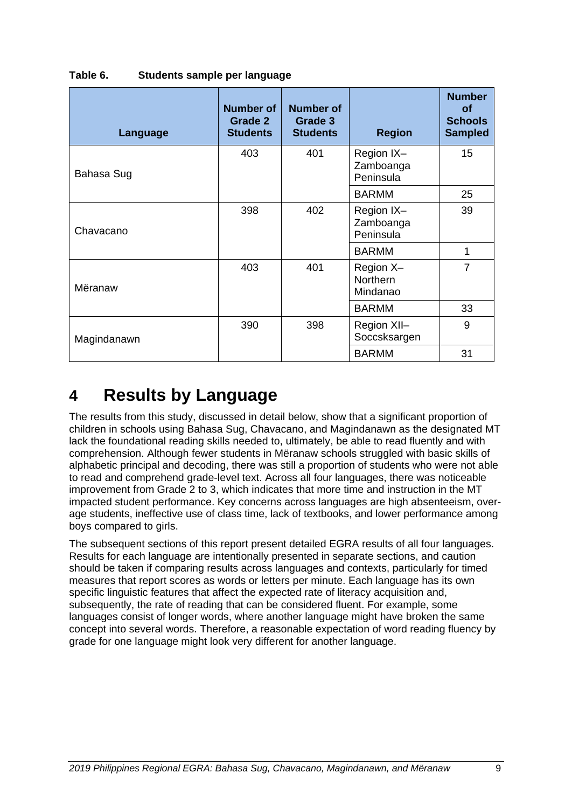| Language    | <b>Number of</b><br>Grade 2<br><b>Students</b> | Number of<br>Grade 3<br><b>Students</b> | <b>Region</b>                            | <b>Number</b><br><b>of</b><br><b>Schools</b><br><b>Sampled</b> |
|-------------|------------------------------------------------|-----------------------------------------|------------------------------------------|----------------------------------------------------------------|
| Bahasa Sug  | 403                                            | 401                                     | Region IX-<br>Zamboanga<br>Peninsula     | 15                                                             |
|             |                                                |                                         | <b>BARMM</b>                             | 25                                                             |
| Chavacano   | 398                                            | 402                                     | Region IX-<br>Zamboanga<br>Peninsula     | 39                                                             |
|             |                                                |                                         | <b>BARMM</b>                             | 1                                                              |
| Mëranaw     | 403                                            | 401                                     | Region X-<br><b>Northern</b><br>Mindanao | $\overline{7}$                                                 |
|             |                                                |                                         | <b>BARMM</b>                             | 33                                                             |
| Magindanawn | 390                                            | 398                                     | Region XII-<br>Soccsksargen              | 9                                                              |
|             |                                                |                                         | <b>BARMM</b>                             | 31                                                             |

#### <span id="page-16-1"></span>**Table 6. Students sample per language**

### <span id="page-16-0"></span>**4 Results by Language**

The results from this study, discussed in detail below, show that a significant proportion of children in schools using Bahasa Sug, Chavacano, and Magindanawn as the designated MT lack the foundational reading skills needed to, ultimately, be able to read fluently and with comprehension. Although fewer students in Mëranaw schools struggled with basic skills of alphabetic principal and decoding, there was still a proportion of students who were not able to read and comprehend grade-level text. Across all four languages, there was noticeable improvement from Grade 2 to 3, which indicates that more time and instruction in the MT impacted student performance. Key concerns across languages are high absenteeism, overage students, ineffective use of class time, lack of textbooks, and lower performance among boys compared to girls.

The subsequent sections of this report present detailed EGRA results of all four languages. Results for each language are intentionally presented in separate sections, and caution should be taken if comparing results across languages and contexts, particularly for timed measures that report scores as words or letters per minute. Each language has its own specific linguistic features that affect the expected rate of literacy acquisition and, subsequently, the rate of reading that can be considered fluent. For example, some languages consist of longer words, where another language might have broken the same concept into several words. Therefore, a reasonable expectation of word reading fluency by grade for one language might look very different for another language.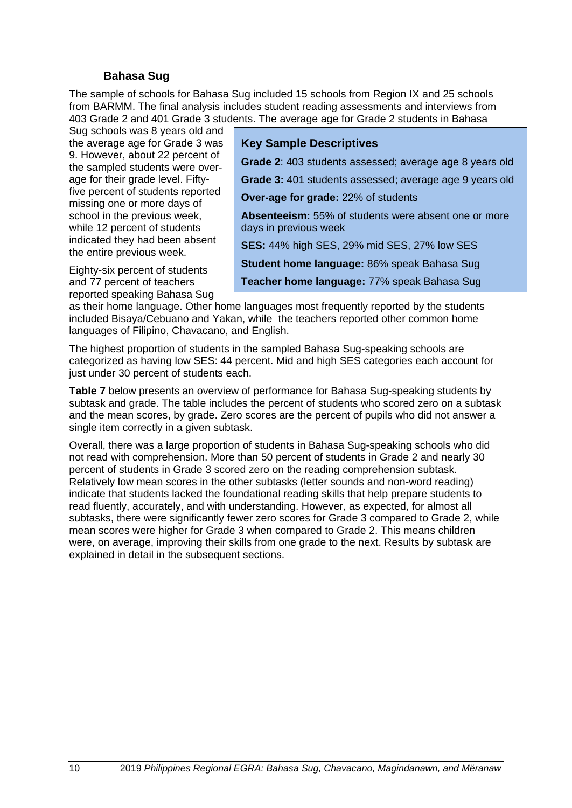#### **Bahasa Sug**

<span id="page-17-0"></span>The sample of schools for Bahasa Sug included 15 schools from Region IX and 25 schools from BARMM. The final analysis includes student reading assessments and interviews from 403 Grade 2 and 401 Grade 3 students. The average age for Grade 2 students in Bahasa

Sug schools was 8 years old and the average age for Grade 3 was 9. However, about 22 percent of the sampled students were overage for their grade level. Fiftyfive percent of students reported missing one or more days of school in the previous week, while 12 percent of students indicated they had been absent the entire previous week.

Eighty-six percent of students and 77 percent of teachers reported speaking Bahasa Sug

#### **Key Sample Descriptives**

**Grade 2**: 403 students assessed; average age 8 years old

**Grade 3:** 401 students assessed; average age 9 years old

**Over-age for grade:** 22% of students

**Absenteeism:** 55% of students were absent one or more days in previous week

**SES:** 44% high SES, 29% mid SES, 27% low SES

**Student home language:** 86% speak Bahasa Sug

**Teacher home language:** 77% speak Bahasa Sug

as their home language. Other home languages most frequently reported by the students included Bisaya/Cebuano and Yakan, while the teachers reported other common home languages of Filipino, Chavacano, and English.

The highest proportion of students in the sampled Bahasa Sug-speaking schools are categorized as having low SES: 44 percent. Mid and high SES categories each account for just under 30 percent of students each.

**[Table 7](#page-18-1)** below presents an overview of performance for Bahasa Sug-speaking students by subtask and grade. The table includes the percent of students who scored zero on a subtask and the mean scores, by grade. Zero scores are the percent of pupils who did not answer a single item correctly in a given subtask.

Overall, there was a large proportion of students in Bahasa Sug-speaking schools who did not read with comprehension. More than 50 percent of students in Grade 2 and nearly 30 percent of students in Grade 3 scored zero on the reading comprehension subtask. Relatively low mean scores in the other subtasks (letter sounds and non-word reading) indicate that students lacked the foundational reading skills that help prepare students to read fluently, accurately, and with understanding. However, as expected, for almost all subtasks, there were significantly fewer zero scores for Grade 3 compared to Grade 2, while mean scores were higher for Grade 3 when compared to Grade 2. This means children were, on average, improving their skills from one grade to the next. Results by subtask are explained in detail in the subsequent sections.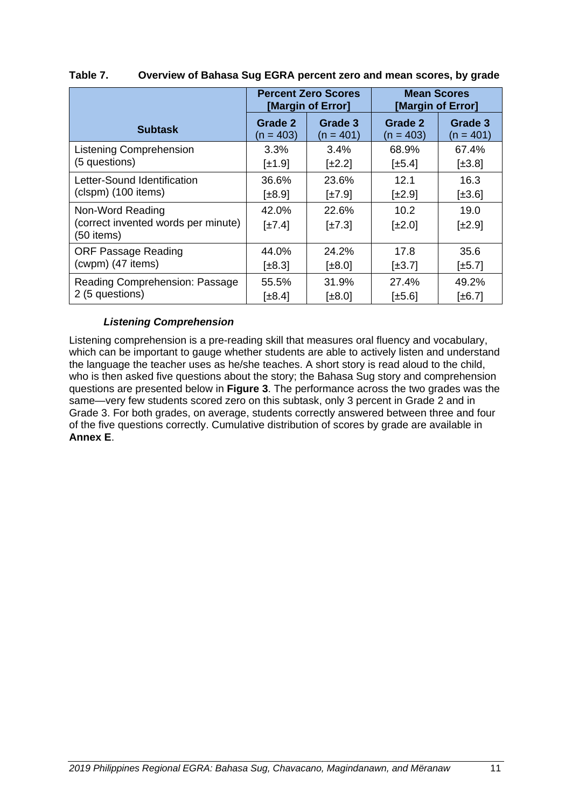|                                                     |                           | <b>Percent Zero Scores</b><br>[Margin of Error] | <b>Mean Scores</b><br>[Margin of Error] |                        |  |  |
|-----------------------------------------------------|---------------------------|-------------------------------------------------|-----------------------------------------|------------------------|--|--|
| <b>Subtask</b>                                      | Grade 2<br>$(n = 403)$    | Grade 3<br>$(n = 401)$                          | Grade 2<br>$(n = 403)$                  | Grade 3<br>$(n = 401)$ |  |  |
| <b>Listening Comprehension</b>                      | $3.3\%$                   | $3.4\%$                                         | 68.9%                                   | 67.4%                  |  |  |
| (5 questions)                                       | $\left[\pm 1.9\right]$    | $[\pm 2.2]$                                     | $[\pm 5.4]$                             | $[\pm 3.8]$            |  |  |
| Letter-Sound Identification                         | 36.6%                     | 23.6%                                           | 12.1                                    | 16.3                   |  |  |
| (clspm) (100 items)                                 | $[\pm 8.9]$               | $\pm 7.9$                                       | $[\pm 2.9]$                             | $[\pm 3.6]$            |  |  |
| Non-Word Reading                                    | 42.0%                     | 22.6%                                           | 10.2                                    | 19.0                   |  |  |
| (correct invented words per minute)<br>$(50$ items) | $\lfloor \pm 7.4 \rfloor$ | $\pm 7.3$                                       | $\pm 2.0$                               | $\pm 2.9$              |  |  |
| <b>ORF Passage Reading</b>                          | 44.0%                     | 24.2%                                           | 17.8                                    | 35.6                   |  |  |
| (cwpm) (47 items)                                   | $[\pm 8.3]$               | [±8.0]                                          | $\pm 3.7$                               | $[\pm 5.7]$            |  |  |
| Reading Comprehension: Passage                      | 55.5%                     | 31.9%                                           | 27.4%                                   | 49.2%                  |  |  |
| 2 (5 questions)                                     | $[\pm 8.4]$               | [±8.0]                                          | $[\pm 5.6]$                             | $\pm 6.7$              |  |  |

#### <span id="page-18-1"></span>**Table 7. Overview of Bahasa Sug EGRA percent zero and mean scores, by grade**

#### *Listening Comprehension*

<span id="page-18-0"></span>Listening comprehension is a pre-reading skill that measures oral fluency and vocabulary, which can be important to gauge whether students are able to actively listen and understand the language the teacher uses as he/she teaches. A short story is read aloud to the child, who is then asked five questions about the story; the Bahasa Sug story and comprehension questions are presented below in **[Figure 3](#page-19-1)**. The performance across the two grades was the same—very few students scored zero on this subtask, only 3 percent in Grade 2 and in Grade 3. For both grades, on average, students correctly answered between three and four of the five questions correctly. Cumulative distribution of scores by grade are available in **Annex E**.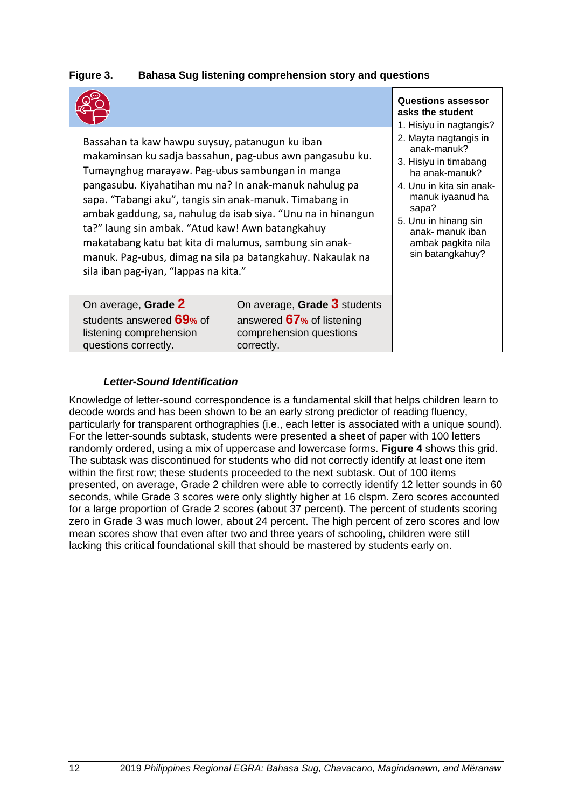#### <span id="page-19-1"></span>**Figure 3. Bahasa Sug listening comprehension story and questions**

| Bassahan ta kaw hawpu suysuy, patanugun ku iban<br>makaminsan ku sadja bassahun, pag-ubus awn pangasubu ku.<br>Tumaynghug marayaw. Pag-ubus sambungan in manga<br>pangasubu. Kiyahatihan mu na? In anak-manuk nahulug pa<br>sapa. "Tabangi aku", tangis sin anak-manuk. Timabang in<br>ambak gaddung, sa, nahulug da isab siya. "Unu na in hinangun<br>ta?" laung sin ambak. "Atud kaw! Awn batangkahuy<br>makatabang katu bat kita di malumus, sambung sin anak-<br>manuk. Pag-ubus, dimag na sila pa batangkahuy. Nakaulak na<br>sila iban pag-iyan, "lappas na kita." |                                                                                                    | <b>Questions assessor</b><br>asks the student<br>1. Hisiyu in nagtangis?<br>2. Mayta nagtangis in<br>anak-manuk?<br>3. Hisiyu in timabang<br>ha anak-manuk?<br>4. Unu in kita sin anak-<br>manuk iyaanud ha<br>sapa?<br>5. Unu in hinang sin<br>anak- manuk iban<br>ambak pagkita nila<br>sin batangkahuy? |
|--------------------------------------------------------------------------------------------------------------------------------------------------------------------------------------------------------------------------------------------------------------------------------------------------------------------------------------------------------------------------------------------------------------------------------------------------------------------------------------------------------------------------------------------------------------------------|----------------------------------------------------------------------------------------------------|------------------------------------------------------------------------------------------------------------------------------------------------------------------------------------------------------------------------------------------------------------------------------------------------------------|
| On average, Grade 2<br>students answered 69% of<br>listening comprehension<br>questions correctly.                                                                                                                                                                                                                                                                                                                                                                                                                                                                       | On average, Grade 3 students<br>answered 67% of listening<br>comprehension questions<br>correctly. |                                                                                                                                                                                                                                                                                                            |

#### *Letter-Sound Identification*

<span id="page-19-0"></span>Knowledge of letter-sound correspondence is a fundamental skill that helps children learn to decode words and has been shown to be an early strong predictor of reading fluency, particularly for transparent orthographies (i.e., each letter is associated with a unique sound). For the letter-sounds subtask, students were presented a sheet of paper with 100 letters randomly ordered, using a mix of uppercase and lowercase forms. **[Figure 4](#page-20-1)** shows this grid. The subtask was discontinued for students who did not correctly identify at least one item within the first row; these students proceeded to the next subtask. Out of 100 items presented, on average, Grade 2 children were able to correctly identify 12 letter sounds in 60 seconds, while Grade 3 scores were only slightly higher at 16 clspm. Zero scores accounted for a large proportion of Grade 2 scores (about 37 percent). The percent of students scoring zero in Grade 3 was much lower, about 24 percent. The high percent of zero scores and low mean scores show that even after two and three years of schooling, children were still lacking this critical foundational skill that should be mastered by students early on.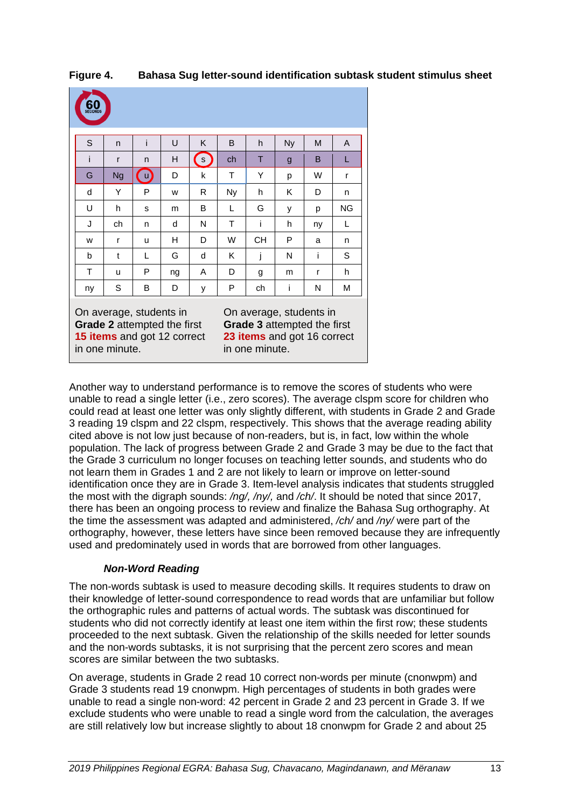| S  | n         | i            | U  | K                  | B  | h         | <b>Ny</b> | M  | A         |
|----|-----------|--------------|----|--------------------|----|-----------|-----------|----|-----------|
| i  | r         | n            | н  | $\left( s \right)$ | ch | T         | g         | B  | L         |
| G  | <b>Ng</b> | $\mathbf{u}$ | D  | k                  | T  | Y         | p         | W  | r         |
| d  | Υ         | P            | w  | R                  | Ny | h         | K         | D  | n         |
| U  | h         | s            | m  | B                  | L  | G         | у         | р  | <b>NG</b> |
| J  | ch        | n            | d  | N                  | т  | i         | h         | ny | L         |
| W  | r         | u            | н  | D                  | W  | <b>CH</b> | P         | a  | n         |
| b  | t         | L            | G  | d                  | Κ  | j         | N         | i  | S         |
| T  | u         | P            | ng | Α                  | D  | g         | m         | r  | h         |
| ny | S         | B            | D  | У                  | P  | ch        | i         | N  | M         |

<span id="page-20-1"></span>**Figure 4. Bahasa Sug letter-sound identification subtask student stimulus sheet**

Another way to understand performance is to remove the scores of students who were unable to read a single letter (i.e., zero scores). The average clspm score for children who could read at least one letter was only slightly different, with students in Grade 2 and Grade 3 reading 19 clspm and 22 clspm, respectively. This shows that the average reading ability cited above is not low just because of non-readers, but is, in fact, low within the whole population. The lack of progress between Grade 2 and Grade 3 may be due to the fact that the Grade 3 curriculum no longer focuses on teaching letter sounds, and students who do not learn them in Grades 1 and 2 are not likely to learn or improve on letter-sound identification once they are in Grade 3. Item-level analysis indicates that students struggled the most with the digraph sounds: */ng/, /ny/,* and */ch/*. It should be noted that since 2017, there has been an ongoing process to review and finalize the Bahasa Sug orthography. At the time the assessment was adapted and administered, */ch/* and */ny/* were part of the orthography, however, these letters have since been removed because they are infrequently used and predominately used in words that are borrowed from other languages.

#### *Non-Word Reading*

<span id="page-20-0"></span>The non-words subtask is used to measure decoding skills. It requires students to draw on their knowledge of letter-sound correspondence to read words that are unfamiliar but follow the orthographic rules and patterns of actual words. The subtask was discontinued for students who did not correctly identify at least one item within the first row; these students proceeded to the next subtask. Given the relationship of the skills needed for letter sounds and the non-words subtasks, it is not surprising that the percent zero scores and mean scores are similar between the two subtasks.

On average, students in Grade 2 read 10 correct non-words per minute (cnonwpm) and Grade 3 students read 19 cnonwpm. High percentages of students in both grades were unable to read a single non-word: 42 percent in Grade 2 and 23 percent in Grade 3. If we exclude students who were unable to read a single word from the calculation, the averages are still relatively low but increase slightly to about 18 cnonwpm for Grade 2 and about 25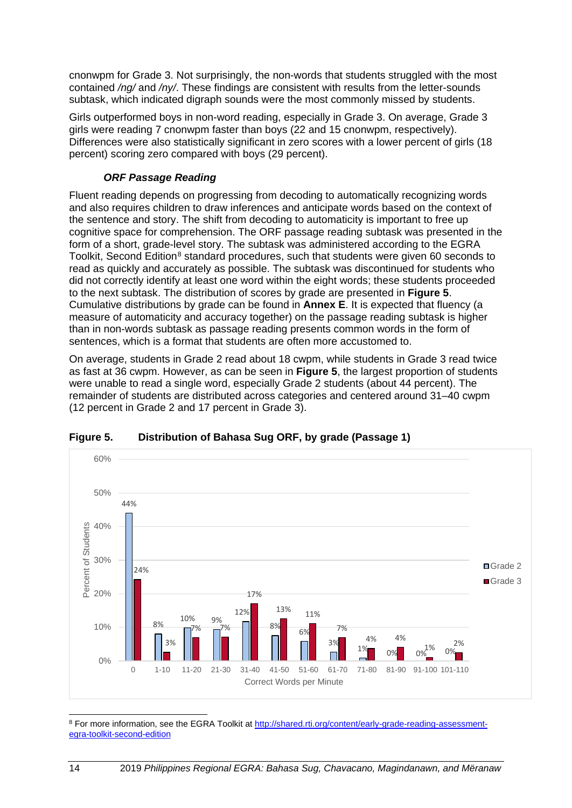cnonwpm for Grade 3. Not surprisingly, the non-words that students struggled with the most contained */ng/* and */ny/*. These findings are consistent with results from the letter-sounds subtask, which indicated digraph sounds were the most commonly missed by students.

Girls outperformed boys in non-word reading, especially in Grade 3. On average, Grade 3 girls were reading 7 cnonwpm faster than boys (22 and 15 cnonwpm, respectively). Differences were also statistically significant in zero scores with a lower percent of girls (18 percent) scoring zero compared with boys (29 percent).

#### *ORF Passage Reading*

<span id="page-21-0"></span>Fluent reading depends on progressing from decoding to automatically recognizing words and also requires children to draw inferences and anticipate words based on the context of the sentence and story. The shift from decoding to automaticity is important to free up cognitive space for comprehension. The ORF passage reading subtask was presented in the form of a short, grade-level story. The subtask was administered according to the EGRA Toolkit, Second Edition<sup>[8](#page-21-2)</sup> standard procedures, such that students were given 60 seconds to read as quickly and accurately as possible. The subtask was discontinued for students who did not correctly identify at least one word within the eight words; these students proceeded to the next subtask. The distribution of scores by grade are presented in **[Figure 5](#page-21-1)**. Cumulative distributions by grade can be found in **Annex E**. It is expected that fluency (a measure of automaticity and accuracy together) on the passage reading subtask is higher than in non-words subtask as passage reading presents common words in the form of sentences, which is a format that students are often more accustomed to.

On average, students in Grade 2 read about 18 cwpm, while students in Grade 3 read twice as fast at 36 cwpm. However, as can be seen in **[Figure 5](#page-21-1)**, the largest proportion of students were unable to read a single word, especially Grade 2 students (about 44 percent). The remainder of students are distributed across categories and centered around 31–40 cwpm (12 percent in Grade 2 and 17 percent in Grade 3).



#### <span id="page-21-1"></span>**Figure 5. Distribution of Bahasa Sug ORF, by grade (Passage 1)**

<span id="page-21-2"></span><sup>8</sup> For more information, see the EGRA Toolkit at [http://shared.rti.org/content/early-grade-reading-assessment](http://shared.rti.org/content/early-grade-reading-assessment-egra-toolkit-second-edition)[egra-toolkit-second-edition](http://shared.rti.org/content/early-grade-reading-assessment-egra-toolkit-second-edition)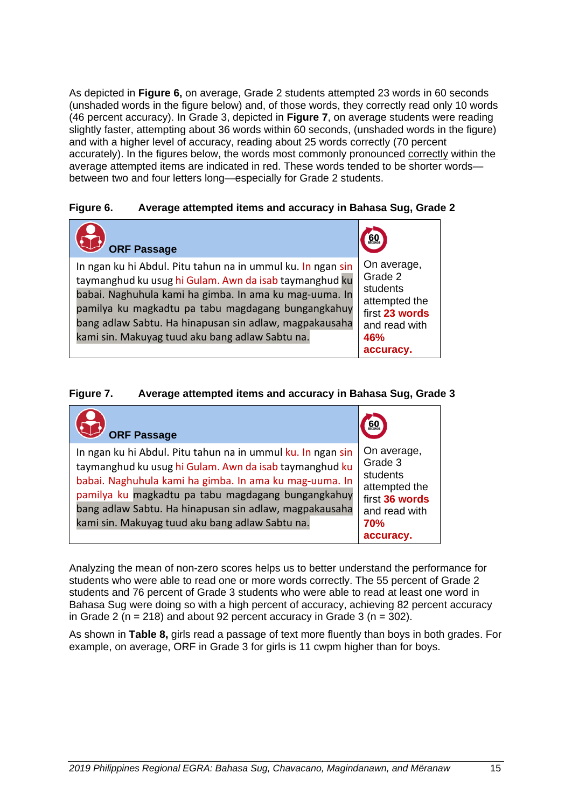As depicted in **[Figure 6,](#page-22-0)** on average, Grade 2 students attempted 23 words in 60 seconds (unshaded words in the figure below) and, of those words, they correctly read only 10 words (46 percent accuracy). In Grade 3, depicted in **[Figure 7](#page-22-1)**, on average students were reading slightly faster, attempting about 36 words within 60 seconds, (unshaded words in the figure) and with a higher level of accuracy, reading about 25 words correctly (70 percent accurately). In the figures below, the words most commonly pronounced correctly within the average attempted items are indicated in red. These words tended to be shorter words between two and four letters long—especially for Grade 2 students.

#### <span id="page-22-0"></span>**Figure 6. Average attempted items and accuracy in Bahasa Sug, Grade 2**



#### <span id="page-22-1"></span>**Figure 7. Average attempted items and accuracy in Bahasa Sug, Grade 3**

| <b>ORF Passage</b>                                                                                                                                                                                                                                                                                                                                 |                                                                                                                   |
|----------------------------------------------------------------------------------------------------------------------------------------------------------------------------------------------------------------------------------------------------------------------------------------------------------------------------------------------------|-------------------------------------------------------------------------------------------------------------------|
| In ngan ku hi Abdul. Pitu tahun na in ummul ku. In ngan sin<br>taymanghud ku usug hi Gulam. Awn da isab taymanghud ku<br>babai. Naghuhula kami ha gimba. In ama ku mag-uuma. In<br>pamilya ku magkadtu pa tabu magdagang bungangkahuy<br>bang adlaw Sabtu. Ha hinapusan sin adlaw, magpakausaha<br>kami sin. Makuyag tuud aku bang adlaw Sabtu na. | On average,<br>Grade 3<br>students<br>attempted the<br>first 36 words<br>and read with<br><b>70%</b><br>accuracy. |

Analyzing the mean of non-zero scores helps us to better understand the performance for students who were able to read one or more words correctly. The 55 percent of Grade 2 students and 76 percent of Grade 3 students who were able to read at least one word in Bahasa Sug were doing so with a high percent of accuracy, achieving 82 percent accuracy in Grade 2 ( $n = 218$ ) and about 92 percent accuracy in Grade 3 ( $n = 302$ ).

As shown in **[Table 8,](#page-23-1)** girls read a passage of text more fluently than boys in both grades. For example, on average, ORF in Grade 3 for girls is 11 cwpm higher than for boys.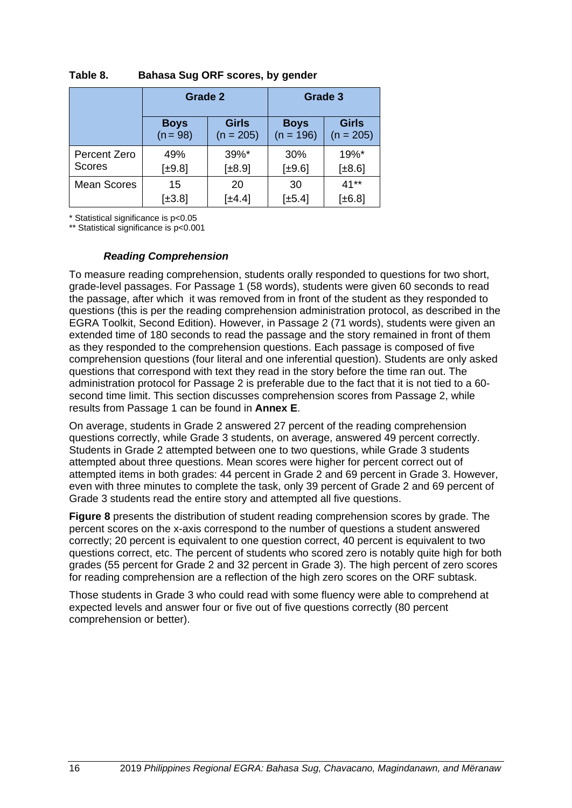|                               | Grade 2                   |                             |                            | Grade 3                     |
|-------------------------------|---------------------------|-----------------------------|----------------------------|-----------------------------|
|                               | <b>Boys</b><br>$(n = 98)$ | <b>Girls</b><br>$(n = 205)$ | <b>Boys</b><br>$(n = 196)$ | <b>Girls</b><br>$(n = 205)$ |
| <b>Percent Zero</b><br>Scores | 49%                       | $39\%$ *                    | 30%                        | 19%*                        |
|                               | $[\pm 9.8]$               | $[\pm 8.9]$                 | [±9.6]                     | [±8.6]                      |
| <b>Mean Scores</b>            | 15                        | 20                          | 30                         | $41**$                      |
|                               | $[\pm 3.8]$               | [±4.4]                      | $[\pm 5.4]$                | $[\pm 6.8]$                 |

#### <span id="page-23-1"></span>**Table 8. Bahasa Sug ORF scores, by gender**

\* Statistical significance is p<0.05

\*\* Statistical significance is p<0.001

#### *Reading Comprehension*

<span id="page-23-0"></span>To measure reading comprehension, students orally responded to questions for two short, grade-level passages. For Passage 1 (58 words), students were given 60 seconds to read the passage, after which it was removed from in front of the student as they responded to questions (this is per the reading comprehension administration protocol, as described in the EGRA Toolkit, Second Edition). However, in Passage 2 (71 words), students were given an extended time of 180 seconds to read the passage and the story remained in front of them as they responded to the comprehension questions. Each passage is composed of five comprehension questions (four literal and one inferential question). Students are only asked questions that correspond with text they read in the story before the time ran out. The administration protocol for Passage 2 is preferable due to the fact that it is not tied to a 60 second time limit. This section discusses comprehension scores from Passage 2, while results from Passage 1 can be found in **Annex E**.

On average, students in Grade 2 answered 27 percent of the reading comprehension questions correctly, while Grade 3 students, on average, answered 49 percent correctly. Students in Grade 2 attempted between one to two questions, while Grade 3 students attempted about three questions. Mean scores were higher for percent correct out of attempted items in both grades: 44 percent in Grade 2 and 69 percent in Grade 3. However, even with three minutes to complete the task, only 39 percent of Grade 2 and 69 percent of Grade 3 students read the entire story and attempted all five questions.

**[Figure 8](#page-24-1)** presents the distribution of student reading comprehension scores by grade. The percent scores on the x-axis correspond to the number of questions a student answered correctly; 20 percent is equivalent to one question correct, 40 percent is equivalent to two questions correct, etc. The percent of students who scored zero is notably quite high for both grades (55 percent for Grade 2 and 32 percent in Grade 3). The high percent of zero scores for reading comprehension are a reflection of the high zero scores on the ORF subtask.

Those students in Grade 3 who could read with some fluency were able to comprehend at expected levels and answer four or five out of five questions correctly (80 percent comprehension or better).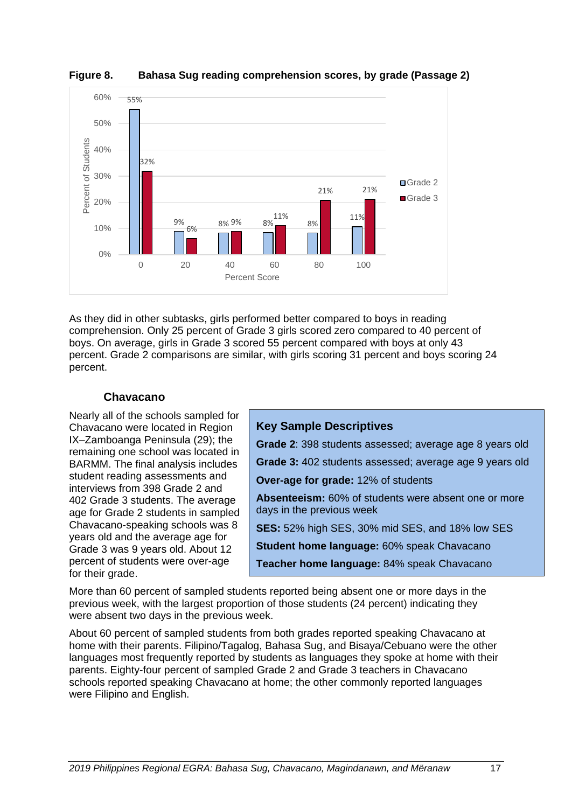

<span id="page-24-1"></span>**Figure 8. Bahasa Sug reading comprehension scores, by grade (Passage 2)**

As they did in other subtasks, girls performed better compared to boys in reading comprehension. Only 25 percent of Grade 3 girls scored zero compared to 40 percent of boys. On average, girls in Grade 3 scored 55 percent compared with boys at only 43 percent. Grade 2 comparisons are similar, with girls scoring 31 percent and boys scoring 24 percent.

#### **Chavacano**

<span id="page-24-0"></span>Nearly all of the schools sampled for Chavacano were located in Region IX–Zamboanga Peninsula (29); the remaining one school was located in BARMM. The final analysis includes student reading assessments and interviews from 398 Grade 2 and 402 Grade 3 students. The average age for Grade 2 students in sampled Chavacano-speaking schools was 8 years old and the average age for Grade 3 was 9 years old. About 12 percent of students were over-age for their grade.

#### **Key Sample Descriptives**

**Grade 2**: 398 students assessed; average age 8 years old

**Grade 3:** 402 students assessed; average age 9 years old

**Over-age for grade:** 12% of students

**Absenteeism:** 60% of students were absent one or more days in the previous week

**SES:** 52% high SES, 30% mid SES, and 18% low SES

**Student home language:** 60% speak Chavacano

**Teacher home language:** 84% speak Chavacano

More than 60 percent of sampled students reported being absent one or more days in the previous week, with the largest proportion of those students (24 percent) indicating they were absent two days in the previous week.

About 60 percent of sampled students from both grades reported speaking Chavacano at home with their parents. Filipino/Tagalog, Bahasa Sug, and Bisaya/Cebuano were the other languages most frequently reported by students as languages they spoke at home with their parents. Eighty-four percent of sampled Grade 2 and Grade 3 teachers in Chavacano schools reported speaking Chavacano at home; the other commonly reported languages were Filipino and English.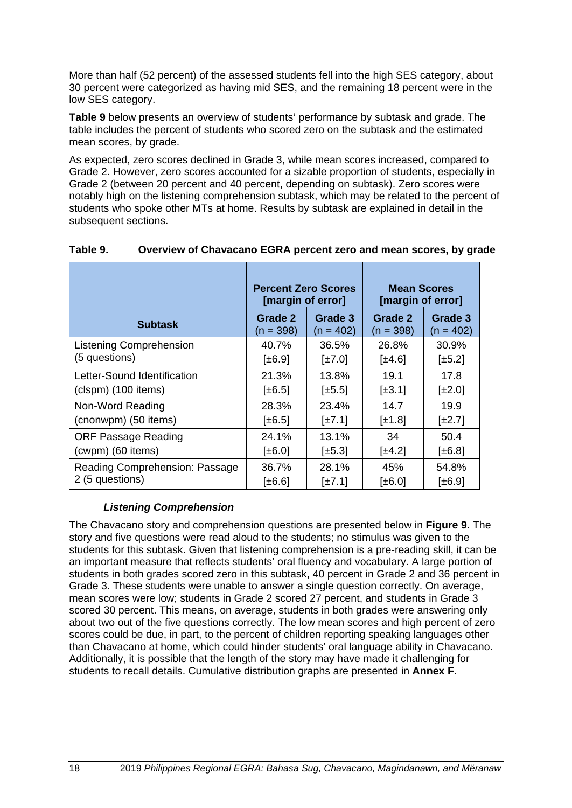More than half (52 percent) of the assessed students fell into the high SES category, about 30 percent were categorized as having mid SES, and the remaining 18 percent were in the low SES category.

**[Table 9](#page-25-1)** below presents an overview of students' performance by subtask and grade. The table includes the percent of students who scored zero on the subtask and the estimated mean scores, by grade.

As expected, zero scores declined in Grade 3, while mean scores increased, compared to Grade 2. However, zero scores accounted for a sizable proportion of students, especially in Grade 2 (between 20 percent and 40 percent, depending on subtask). Zero scores were notably high on the listening comprehension subtask, which may be related to the percent of students who spoke other MTs at home. Results by subtask are explained in detail in the subsequent sections.

|                                | <b>Percent Zero Scores</b><br>[margin of error] |                      | <b>Mean Scores</b><br>[margin of error] |                        |  |  |
|--------------------------------|-------------------------------------------------|----------------------|-----------------------------------------|------------------------|--|--|
| <b>Subtask</b>                 | Grade 2<br>(n = 398)                            | Grade 3<br>(n = 402) | Grade 2<br>$(n = 398)$                  | Grade 3<br>$(n = 402)$ |  |  |
| <b>Listening Comprehension</b> | 40.7%                                           | 36.5%                | 26.8%                                   | 30.9%                  |  |  |
| (5 questions)                  | $\pm 6.9$                                       | $[\pm 7.0]$          | $\pm 4.6$                               | $[\pm 5.2]$            |  |  |
| Letter-Sound Identification    | 21.3%                                           | 13.8%                | 19.1                                    | 17.8                   |  |  |
| (clspm) (100 items)            | $\pm 6.5$                                       | $[\pm 5.5]$          | $[\pm 3.1]$                             | $[\pm 2.0]$            |  |  |
| Non-Word Reading               | 28.3%                                           | 23.4%                | 14.7                                    | 19.9                   |  |  |
| (cnonwpm) (50 items)           | $[\pm 6.5]$                                     | $[\pm 7.1]$          | $\pm 1.8$                               | $\left[\pm 2.7\right]$ |  |  |
| <b>ORF Passage Reading</b>     | 24.1%                                           | 13.1%                | 34                                      | 50.4                   |  |  |
| (cwpm) (60 items)              | $\pmb{\uparrow}$ = 6.0                          | $[\pm 5.3]$          | $[\pm 4.2]$                             | $\pm 6.8$              |  |  |
| Reading Comprehension: Passage | 36.7%                                           | 28.1%                | 45%                                     | 54.8%                  |  |  |
| 2 (5 questions)                | [±6.6]                                          | $[\pm 7.1]$          | [±6.0]                                  | [±6.9]                 |  |  |

#### <span id="page-25-1"></span>**Table 9. Overview of Chavacano EGRA percent zero and mean scores, by grade**

#### *Listening Comprehension*

<span id="page-25-0"></span>The Chavacano story and comprehension questions are presented below in **[Figure 9](#page-26-1)**. The story and five questions were read aloud to the students; no stimulus was given to the students for this subtask. Given that listening comprehension is a pre-reading skill, it can be an important measure that reflects students' oral fluency and vocabulary. A large portion of students in both grades scored zero in this subtask, 40 percent in Grade 2 and 36 percent in Grade 3. These students were unable to answer a single question correctly. On average, mean scores were low; students in Grade 2 scored 27 percent, and students in Grade 3 scored 30 percent. This means, on average, students in both grades were answering only about two out of the five questions correctly. The low mean scores and high percent of zero scores could be due, in part, to the percent of children reporting speaking languages other than Chavacano at home, which could hinder students' oral language ability in Chavacano. Additionally, it is possible that the length of the story may have made it challenging for students to recall details. Cumulative distribution graphs are presented in **Annex F**.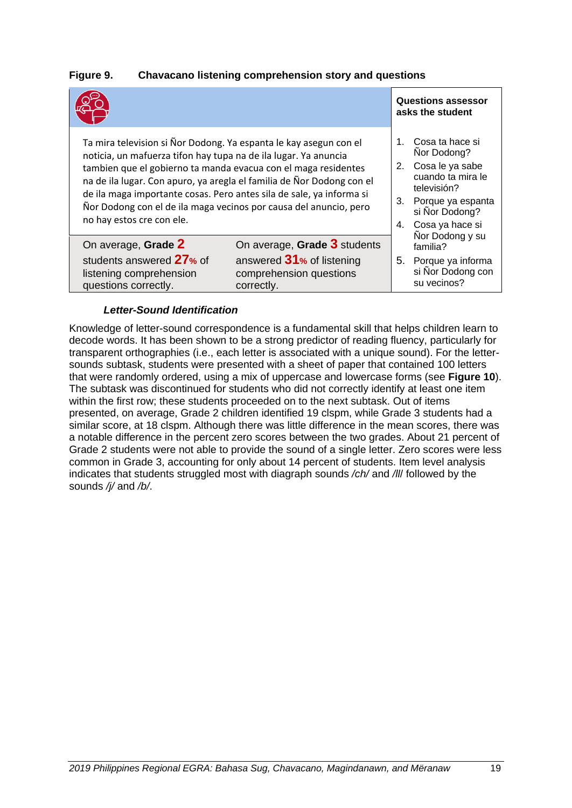#### <span id="page-26-1"></span>**Figure 9. Chavacano listening comprehension story and questions**

|                                                                                                                                                                                                                                                                                                                                                                                                                                                           | <b>Questions assessor</b><br>asks the student                                                      |                                                                                                                                                 |                                                                                      |
|-----------------------------------------------------------------------------------------------------------------------------------------------------------------------------------------------------------------------------------------------------------------------------------------------------------------------------------------------------------------------------------------------------------------------------------------------------------|----------------------------------------------------------------------------------------------------|-------------------------------------------------------------------------------------------------------------------------------------------------|--------------------------------------------------------------------------------------|
| Ta mira television si Ñor Dodong. Ya espanta le kay asegun con el<br>noticia, un mafuerza tifon hay tupa na de ila lugar. Ya anuncia<br>tambien que el gobierno ta manda evacua con el maga residentes<br>na de ila lugar. Con apuro, ya aregla el familia de Ñor Dodong con el<br>de ila maga importante cosas. Pero antes sila de sale, ya informa si<br>Ñor Dodong con el de ila maga vecinos por causa del anuncio, pero<br>no hay estos cre con ele. | 1.<br>2.<br>3.<br>4.                                                                               | Cosa ta hace si<br>Nor Dodong?<br>Cosa le ya sabe<br>cuando ta mira le<br>televisión?<br>Porque ya espanta<br>si Nor Dodong?<br>Cosa ya hace si |                                                                                      |
| On average, Grade 2<br>students answered 27% of<br>listening comprehension<br>questions correctly.                                                                                                                                                                                                                                                                                                                                                        | On average, Grade 3 students<br>answered 31% of listening<br>comprehension questions<br>correctly. | 5.                                                                                                                                              | Nor Dodong y su<br>familia?<br>Porque ya informa<br>si Nor Dodong con<br>su vecinos? |

#### *Letter-Sound Identification*

<span id="page-26-0"></span>Knowledge of letter-sound correspondence is a fundamental skill that helps children learn to decode words. It has been shown to be a strong predictor of reading fluency, particularly for transparent orthographies (i.e., each letter is associated with a unique sound). For the lettersounds subtask, students were presented with a sheet of paper that contained 100 letters that were randomly ordered, using a mix of uppercase and lowercase forms (see **[Figure](#page-27-2) 10**). The subtask was discontinued for students who did not correctly identify at least one item within the first row; these students proceeded on to the next subtask. Out of items presented, on average, Grade 2 children identified 19 clspm, while Grade 3 students had a similar score, at 18 clspm. Although there was little difference in the mean scores, there was a notable difference in the percent zero scores between the two grades. About 21 percent of Grade 2 students were not able to provide the sound of a single letter. Zero scores were less common in Grade 3, accounting for only about 14 percent of students. Item level analysis indicates that students struggled most with diagraph sounds */ch/* and */ll*/ followed by the sounds */j/* and */b/*.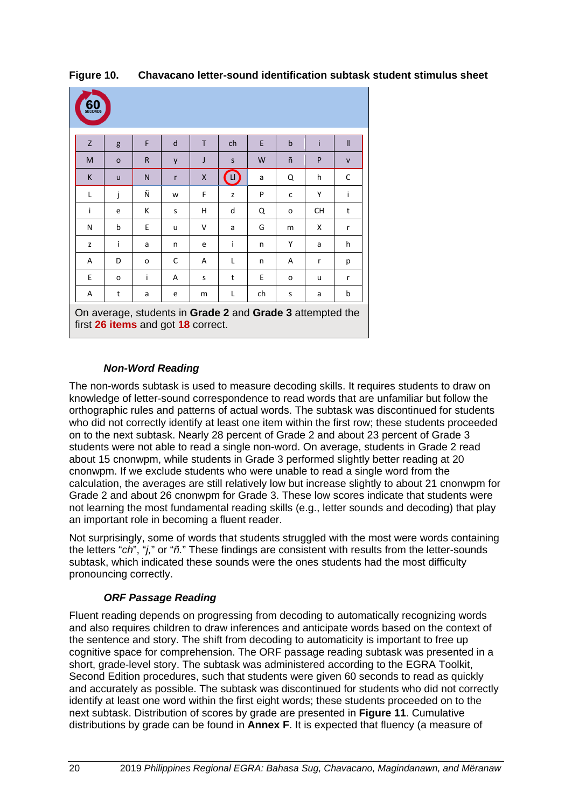| 60 |         |                                    |   |              |                                                           |    |             |           |              |
|----|---------|------------------------------------|---|--------------|-----------------------------------------------------------|----|-------------|-----------|--------------|
| Z  | g       | F                                  | d | T.           | ch                                                        | E  | $\mathbf b$ | i         | $\mathbf{I}$ |
| M  | $\circ$ | $\mathsf{R}$                       | y | J            | $\mathsf{s}$                                              | W  | ñ           | P         | $\mathsf{V}$ |
| K  | u       | N                                  | r | $\mathsf{x}$ | Œ                                                         | a  | Q           | h         | C            |
| L  | İ       | Ñ                                  | W | F            | z                                                         | P  | C           | Υ         | Ť            |
| j. | e       | К                                  | S | н            | d                                                         | Q  | o           | <b>CH</b> | t            |
| N  | b       | E                                  | u | v            | a                                                         | G  | m           | X         | r            |
| Z  | i       | a                                  | n | e            | i                                                         | n  | Υ           | a         | h            |
| A  | D       | o                                  | C | A            | L                                                         | n  | A           | r         | р            |
| E  | o       | i                                  | A | S            | $\mathsf{t}$                                              | E  | o           | u         | r            |
| A  | t       | a                                  | e | m            | L                                                         | ch | S           | a         | b            |
|    |         | first 26 items and got 18 correct. |   |              | On average, students in Grade 2 and Grade 3 attempted the |    |             |           |              |

<span id="page-27-2"></span>**Figure 10. Chavacano letter-sound identification subtask student stimulus sheet**

#### *Non-Word Reading*

<span id="page-27-0"></span>The non-words subtask is used to measure decoding skills. It requires students to draw on knowledge of letter-sound correspondence to read words that are unfamiliar but follow the orthographic rules and patterns of actual words. The subtask was discontinued for students who did not correctly identify at least one item within the first row; these students proceeded on to the next subtask. Nearly 28 percent of Grade 2 and about 23 percent of Grade 3 students were not able to read a single non-word. On average, students in Grade 2 read about 15 cnonwpm, while students in Grade 3 performed slightly better reading at 20 cnonwpm. If we exclude students who were unable to read a single word from the calculation, the averages are still relatively low but increase slightly to about 21 cnonwpm for Grade 2 and about 26 cnonwpm for Grade 3. These low scores indicate that students were not learning the most fundamental reading skills (e.g., letter sounds and decoding) that play an important role in becoming a fluent reader.

Not surprisingly, some of words that students struggled with the most were words containing the letters "*ch*", "*j,*" or "*ñ.*" These findings are consistent with results from the letter-sounds subtask, which indicated these sounds were the ones students had the most difficulty pronouncing correctly.

#### *ORF Passage Reading*

<span id="page-27-1"></span>Fluent reading depends on progressing from decoding to automatically recognizing words and also requires children to draw inferences and anticipate words based on the context of the sentence and story. The shift from decoding to automaticity is important to free up cognitive space for comprehension. The ORF passage reading subtask was presented in a short, grade-level story. The subtask was administered according to the EGRA Toolkit, Second Edition procedures, such that students were given 60 seconds to read as quickly and accurately as possible. The subtask was discontinued for students who did not correctly identify at least one word within the first eight words; these students proceeded on to the next subtask. Distribution of scores by grade are presented in **[Figure 11](#page-28-0)**. Cumulative distributions by grade can be found in **Annex F**. It is expected that fluency (a measure of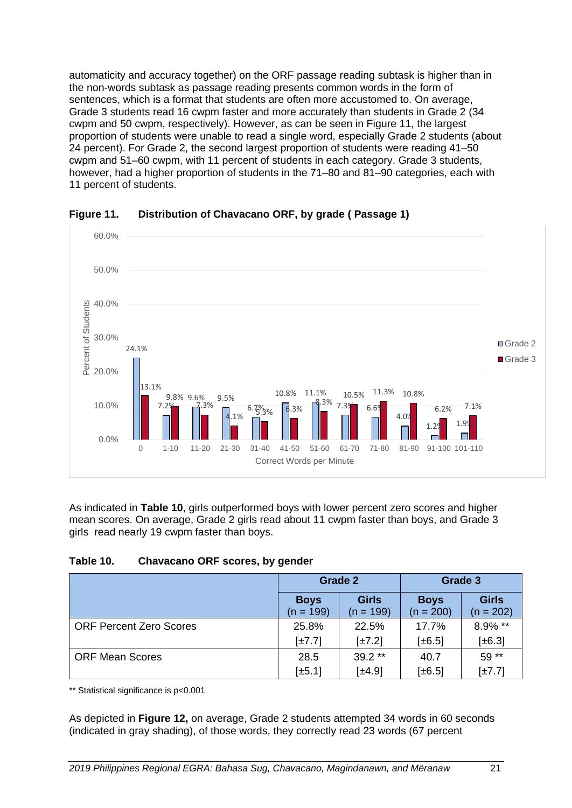automaticity and accuracy together) on the ORF passage reading subtask is higher than in the non-words subtask as passage reading presents common words in the form of sentences, which is a format that students are often more accustomed to. On average, Grade 3 students read 16 cwpm faster and more accurately than students in Grade 2 (34 cwpm and 50 cwpm, respectively). However, as can be seen in Figure 11, the largest proportion of students were unable to read a single word, especially Grade 2 students (about 24 percent). For Grade 2, the second largest proportion of students were reading 41–50 cwpm and 51–60 cwpm, with 11 percent of students in each category. Grade 3 students, however, had a higher proportion of students in the 71–80 and 81–90 categories, each with 11 percent of students.



<span id="page-28-0"></span>**Figure 11. Distribution of Chavacano ORF, by grade ( Passage 1)** 

As indicated in **[Table 10](#page-28-1)**, girls outperformed boys with lower percent zero scores and higher mean scores. On average, Grade 2 girls read about 11 cwpm faster than boys, and Grade 3 girls read nearly 19 cwpm faster than boys.

#### <span id="page-28-1"></span>**Table 10. Chavacano ORF scores, by gender**

|                                |                            | <b>Grade 2</b>              | Grade 3                    |                             |  |  |
|--------------------------------|----------------------------|-----------------------------|----------------------------|-----------------------------|--|--|
|                                | <b>Boys</b><br>$(n = 199)$ | <b>Girls</b><br>$(n = 199)$ | <b>Boys</b><br>$(n = 200)$ | <b>Girls</b><br>$(n = 202)$ |  |  |
| <b>ORF Percent Zero Scores</b> | 25.8%                      | 22.5%                       | 17.7%                      | 8.9% **                     |  |  |
|                                | $\pm 7.7$                  | $\lfloor \pm 7.2 \rfloor$   | $[\pm 6.5]$                | $[\pm 6.3]$                 |  |  |
| <b>ORF Mean Scores</b>         | 28.5                       | $39.2**$                    | 40.7                       | 59 **                       |  |  |
|                                | $[\pm 5.1]$                | $\pm 4.9$                   | $[\pm 6.5]$                | $\pm 7.7$                   |  |  |

\*\* Statistical significance is p<0.001

As depicted in **[Figure 12,](#page-29-1)** on average, Grade 2 students attempted 34 words in 60 seconds (indicated in gray shading), of those words, they correctly read 23 words (67 percent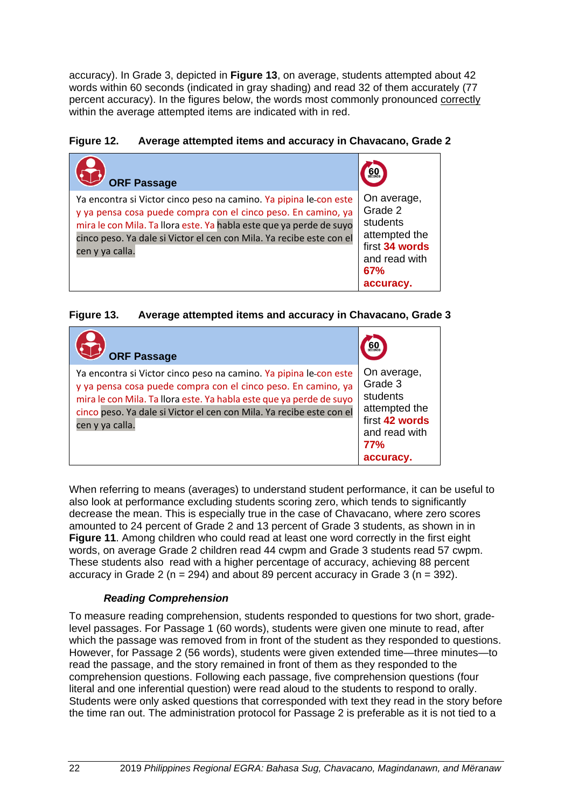accuracy). In Grade 3, depicted in **[Figure 13](#page-29-2)**, on average, students attempted about 42 words within 60 seconds (indicated in gray shading) and read 32 of them accurately (77 percent accuracy). In the figures below, the words most commonly pronounced correctly within the average attempted items are indicated with in red.

#### <span id="page-29-1"></span>**Figure 12. Average attempted items and accuracy in Chavacano, Grade 2**

| <b>ORF Passage</b>                                                                                                                                                                                                                                                                                   | 60 <sub>cm</sub>                                                                                           |
|------------------------------------------------------------------------------------------------------------------------------------------------------------------------------------------------------------------------------------------------------------------------------------------------------|------------------------------------------------------------------------------------------------------------|
| Ya encontra si Victor cinco peso na camino. Ya pipina le con este<br>y ya pensa cosa puede compra con el cinco peso. En camino, ya<br>mira le con Mila. Ta llora este. Ya habla este que ya perde de suyo<br>cinco peso. Ya dale si Victor el cen con Mila. Ya recibe este con el<br>cen y ya calla. | On average,<br>Grade 2<br>students<br>attempted the<br>first 34 words<br>and read with<br>67%<br>accuracy. |

#### <span id="page-29-2"></span>**Figure 13. Average attempted items and accuracy in Chavacano, Grade 3**

| <b>ORF Passage</b>                                                                                                                                                                                                                                                                                   | 60                                                                                                                |
|------------------------------------------------------------------------------------------------------------------------------------------------------------------------------------------------------------------------------------------------------------------------------------------------------|-------------------------------------------------------------------------------------------------------------------|
| Ya encontra si Victor cinco peso na camino. Ya pipina le con este<br>y ya pensa cosa puede compra con el cinco peso. En camino, ya<br>mira le con Mila. Ta llora este. Ya habla este que ya perde de suyo<br>cinco peso. Ya dale si Victor el cen con Mila. Ya recibe este con el<br>cen y ya calla. | On average,<br>Grade 3<br>students<br>attempted the<br>first 42 words<br>and read with<br><b>77%</b><br>accuracy. |

When referring to means (averages) to understand student performance, it can be useful to also look at performance excluding students scoring zero, which tends to significantly decrease the mean. This is especially true in the case of Chavacano, where zero scores amounted to 24 percent of Grade 2 and 13 percent of Grade 3 students, as shown in in **Figure 11**. Among children who could read at least one word correctly in the first eight words, on average Grade 2 children read 44 cwpm and Grade 3 students read 57 cwpm. These students also read with a higher percentage of accuracy, achieving 88 percent accuracy in Grade 2 ( $n = 294$ ) and about 89 percent accuracy in Grade 3 ( $n = 392$ ).

#### *Reading Comprehension*

<span id="page-29-0"></span>To measure reading comprehension, students responded to questions for two short, gradelevel passages. For Passage 1 (60 words), students were given one minute to read, after which the passage was removed from in front of the student as they responded to questions. However, for Passage 2 (56 words), students were given extended time—three minutes—to read the passage, and the story remained in front of them as they responded to the comprehension questions. Following each passage, five comprehension questions (four literal and one inferential question) were read aloud to the students to respond to orally. Students were only asked questions that corresponded with text they read in the story before the time ran out. The administration protocol for Passage 2 is preferable as it is not tied to a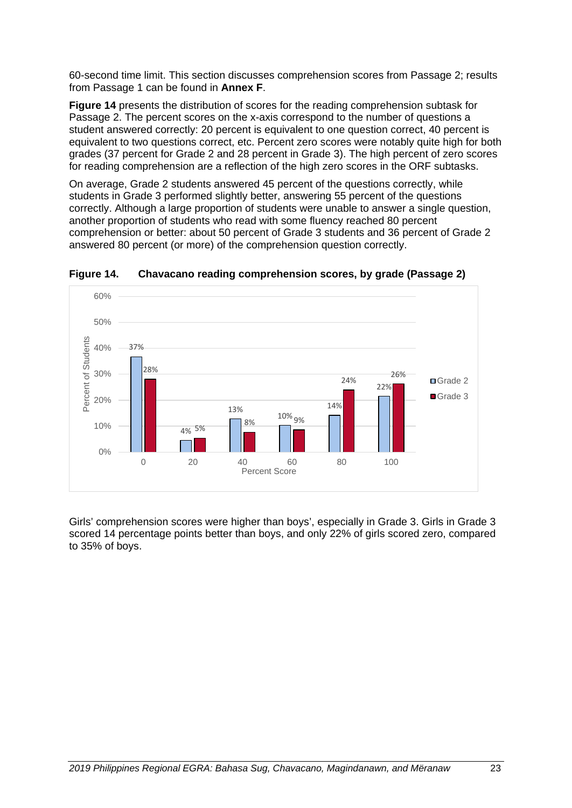60-second time limit. This section discusses comprehension scores from Passage 2; results from Passage 1 can be found in **Annex F**.

**[Figure 14](#page-30-0)** presents the distribution of scores for the reading comprehension subtask for Passage 2. The percent scores on the x-axis correspond to the number of questions a student answered correctly: 20 percent is equivalent to one question correct, 40 percent is equivalent to two questions correct, etc. Percent zero scores were notably quite high for both grades (37 percent for Grade 2 and 28 percent in Grade 3). The high percent of zero scores for reading comprehension are a reflection of the high zero scores in the ORF subtasks.

On average, Grade 2 students answered 45 percent of the questions correctly, while students in Grade 3 performed slightly better, answering 55 percent of the questions correctly. Although a large proportion of students were unable to answer a single question, another proportion of students who read with some fluency reached 80 percent comprehension or better: about 50 percent of Grade 3 students and 36 percent of Grade 2 answered 80 percent (or more) of the comprehension question correctly.



<span id="page-30-0"></span>**Figure 14. Chavacano reading comprehension scores, by grade (Passage 2)**

Girls' comprehension scores were higher than boys', especially in Grade 3. Girls in Grade 3 scored 14 percentage points better than boys, and only 22% of girls scored zero, compared to 35% of boys.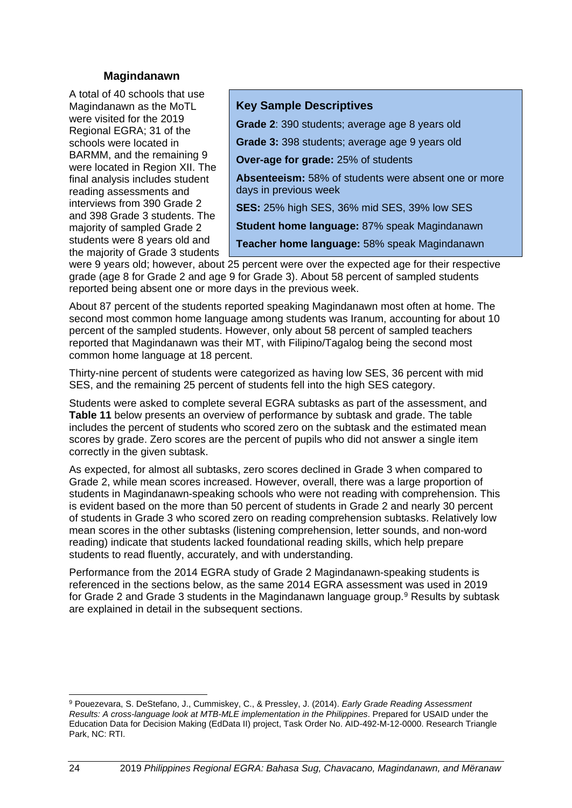#### **Magindanawn**

<span id="page-31-0"></span>A total of 40 schools that use Magindanawn as the MoTL were visited for the 2019 Regional EGRA; 31 of the schools were located in BARMM, and the remaining 9 were located in Region XII. The final analysis includes student reading assessments and interviews from 390 Grade 2 and 398 Grade 3 students. The majority of sampled Grade 2 students were 8 years old and the majority of Grade 3 students

#### **Key Sample Descriptives**

**Grade 2**: 390 students; average age 8 years old

**Grade 3:** 398 students; average age 9 years old

**Over-age for grade:** 25% of students

**Absenteeism:** 58% of students were absent one or more days in previous week

**SES:** 25% high SES, 36% mid SES, 39% low SES

**Student home language:** 87% speak Magindanawn

**Teacher home language:** 58% speak Magindanawn

were 9 years old; however, about 25 percent were over the expected age for their respective grade (age 8 for Grade 2 and age 9 for Grade 3). About 58 percent of sampled students reported being absent one or more days in the previous week.

About 87 percent of the students reported speaking Magindanawn most often at home. The second most common home language among students was Iranum, accounting for about 10 percent of the sampled students. However, only about 58 percent of sampled teachers reported that Magindanawn was their MT, with Filipino/Tagalog being the second most common home language at 18 percent.

Thirty-nine percent of students were categorized as having low SES, 36 percent with mid SES, and the remaining 25 percent of students fell into the high SES category.

Students were asked to complete several EGRA subtasks as part of the assessment, and **[Table 11](#page-32-1)** below presents an overview of performance by subtask and grade. The table includes the percent of students who scored zero on the subtask and the estimated mean scores by grade. Zero scores are the percent of pupils who did not answer a single item correctly in the given subtask.

As expected, for almost all subtasks, zero scores declined in Grade 3 when compared to Grade 2, while mean scores increased. However, overall, there was a large proportion of students in Magindanawn-speaking schools who were not reading with comprehension. This is evident based on the more than 50 percent of students in Grade 2 and nearly 30 percent of students in Grade 3 who scored zero on reading comprehension subtasks. Relatively low mean scores in the other subtasks (listening comprehension, letter sounds, and non-word reading) indicate that students lacked foundational reading skills, which help prepare students to read fluently, accurately, and with understanding.

Performance from the 2014 EGRA study of Grade 2 Magindanawn-speaking students is referenced in the sections below, as the same 2014 EGRA assessment was used in 2019 for Grade 2 and Grade 3 students in the Magindanawn language group.<sup>[9](#page-31-1)</sup> Results by subtask are explained in detail in the subsequent sections.

<span id="page-31-1"></span><sup>9</sup> Pouezevara, S. DeStefano, J., Cummiskey, C., & Pressley, J. (2014). *Early Grade Reading Assessment Results: A cross-language look at MTB-MLE implementation in the Philippines*. Prepared for USAID under the Education Data for Decision Making (EdData II) project, Task Order No. AID-492-M-12-0000. Research Triangle Park, NC: RTI.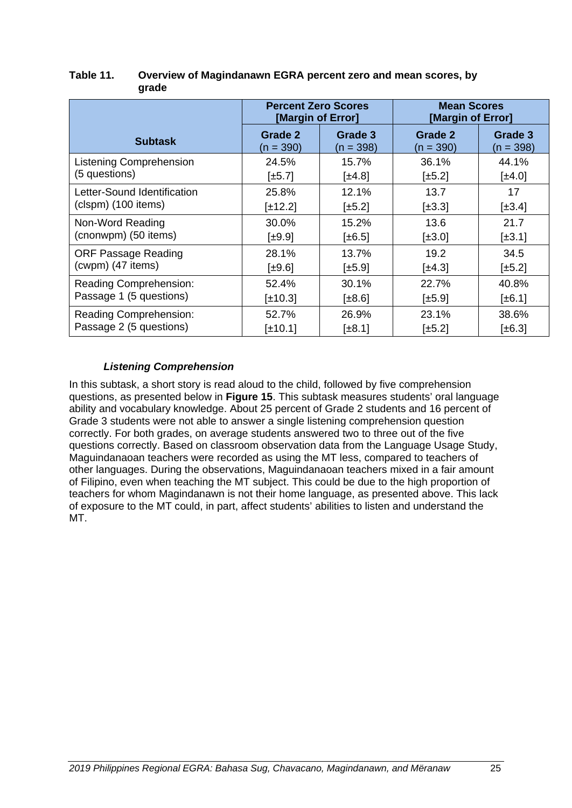|                                | <b>Percent Zero Scores</b><br>[Margin of Error] |                           | <b>Mean Scores</b><br>[Margin of Error] |             |  |
|--------------------------------|-------------------------------------------------|---------------------------|-----------------------------------------|-------------|--|
| <b>Subtask</b>                 | Grade 2                                         | Grade 3                   | <b>Grade 2</b>                          | Grade 3     |  |
|                                | $(n = 390)$                                     | $(n = 398)$               | $(n = 390)$                             | $(n = 398)$ |  |
| <b>Listening Comprehension</b> | 24.5%                                           | 15.7%                     | 36.1%                                   | 44.1%       |  |
| (5 questions)                  | $[\pm 5.7]$                                     | $[\pm 4.8]$               | $\pm 5.2$                               | $[\pm 4.0]$ |  |
| Letter-Sound Identification    | 25.8%                                           | 12.1%                     | 13.7                                    | 17          |  |
| (clspm) (100 items)            | $[\pm 12.2]$                                    | $\left[\pm 5.2\right]$    | $\pm 3.3$                               | $\pm 3.4$   |  |
| Non-Word Reading               | 30.0%                                           | 15.2%                     | 13.6                                    | 21.7        |  |
| (cnonwpm) (50 items)           | $[\pm 9.9]$                                     | $[\pm 6.5]$               | $[\pm 3.0]$                             | $[\pm 3.1]$ |  |
| <b>ORF Passage Reading</b>     | 28.1%                                           | 13.7%                     | 19.2                                    | 34.5        |  |
| (cwpm) (47 items)              | $[\pm 9.6]$                                     | $\lfloor \pm 5.9 \rfloor$ | $\pm 4.3$                               | $[\pm 5.2]$ |  |
| Reading Comprehension:         | 52.4%                                           | 30.1%                     | 22.7%                                   | 40.8%       |  |
| Passage 1 (5 questions)        | $[\pm 10.3]$                                    | [±8.6]                    | $[\pm 5.9]$                             | $[\pm 6.1]$ |  |
| Reading Comprehension:         | 52.7%                                           | 26.9%                     | 23.1%                                   | 38.6%       |  |
| Passage 2 (5 questions)        | $\pm 10.1$                                      | $[\pm 8.1]$               | $[\pm 5.2]$                             | $\pm 6.3$   |  |

#### <span id="page-32-1"></span>**Table 11. Overview of Magindanawn EGRA percent zero and mean scores, by grade**

#### *Listening Comprehension*

<span id="page-32-0"></span>In this subtask, a short story is read aloud to the child, followed by five comprehension questions, as presented below in **[Figure 15](#page-33-1)**. This subtask measures students' oral language ability and vocabulary knowledge. About 25 percent of Grade 2 students and 16 percent of Grade 3 students were not able to answer a single listening comprehension question correctly. For both grades, on average students answered two to three out of the five questions correctly. Based on classroom observation data from the Language Usage Study, Maguindanaoan teachers were recorded as using the MT less, compared to teachers of other languages. During the observations, Maguindanaoan teachers mixed in a fair amount of Filipino, even when teaching the MT subject. This could be due to the high proportion of teachers for whom Magindanawn is not their home language, as presented above. This lack of exposure to the MT could, in part, affect students' abilities to listen and understand the MT.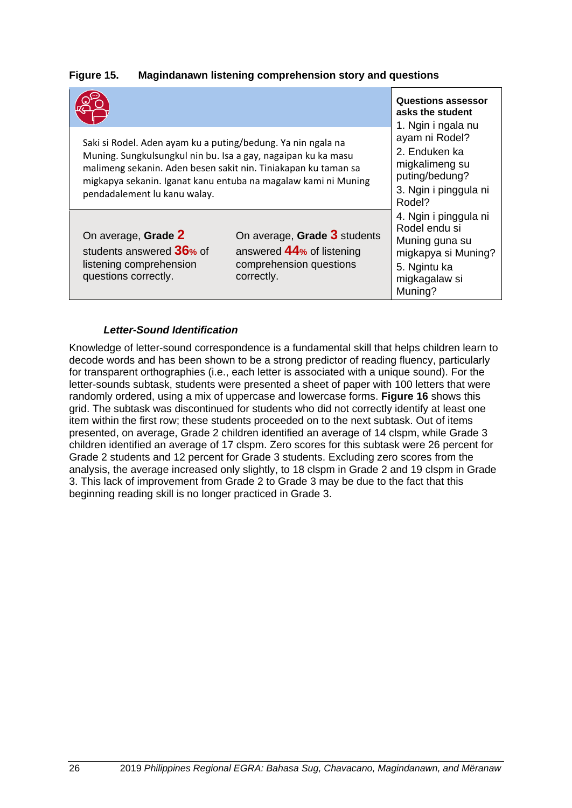|                                                                                                                                                                                                                                                                                                   |                                                                                                        | <b>Questions assessor</b><br>asks the student<br>1. Ngin i ngala nu                                                         |  |  |
|---------------------------------------------------------------------------------------------------------------------------------------------------------------------------------------------------------------------------------------------------------------------------------------------------|--------------------------------------------------------------------------------------------------------|-----------------------------------------------------------------------------------------------------------------------------|--|--|
| Saki si Rodel. Aden ayam ku a puting/bedung. Ya nin ngala na<br>Muning. Sungkulsungkul nin bu. Isa a gay, nagaipan ku ka masu<br>malimeng sekanin. Aden besen sakit nin. Tiniakapan ku taman sa<br>migkapya sekanin. Iganat kanu entuba na magalaw kami ni Muning<br>pendadalement lu kanu walay. | ayam ni Rodel?<br>2. Enduken ka<br>migkalimeng su<br>puting/bedung?<br>3. Ngin i pinggula ni<br>Rodel? |                                                                                                                             |  |  |
| On average, Grade 2<br>students answered 36% of<br>listening comprehension<br>questions correctly.                                                                                                                                                                                                | On average, Grade 3 students<br>answered 44% of listening<br>comprehension questions<br>correctly.     | 4. Ngin i pinggula ni<br>Rodel endu si<br>Muning guna su<br>migkapya si Muning?<br>5. Ngintu ka<br>migkagalaw si<br>Muning? |  |  |

#### <span id="page-33-1"></span>**Figure 15. Magindanawn listening comprehension story and questions**

#### *Letter-Sound Identification*

<span id="page-33-0"></span>Knowledge of letter-sound correspondence is a fundamental skill that helps children learn to decode words and has been shown to be a strong predictor of reading fluency, particularly for transparent orthographies (i.e., each letter is associated with a unique sound). For the letter-sounds subtask, students were presented a sheet of paper with 100 letters that were randomly ordered, using a mix of uppercase and lowercase forms. **[Figure 16](#page-34-1)** shows this grid. The subtask was discontinued for students who did not correctly identify at least one item within the first row; these students proceeded on to the next subtask. Out of items presented, on average, Grade 2 children identified an average of 14 clspm, while Grade 3 children identified an average of 17 clspm. Zero scores for this subtask were 26 percent for Grade 2 students and 12 percent for Grade 3 students. Excluding zero scores from the analysis, the average increased only slightly, to 18 clspm in Grade 2 and 19 clspm in Grade 3. This lack of improvement from Grade 2 to Grade 3 may be due to the fact that this beginning reading skill is no longer practiced in Grade 3.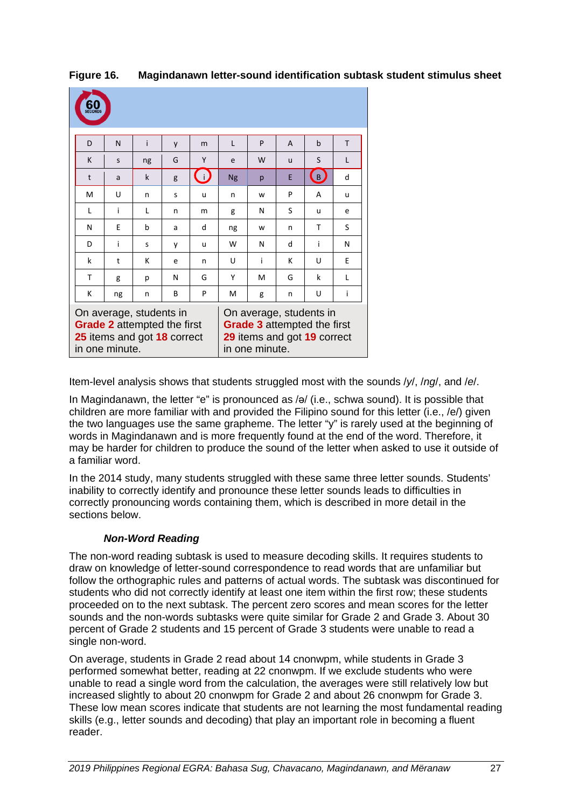| 60<br>ECOND |                                                                                                                |    |   |                                                                                                                |           |   |   |             |   |
|-------------|----------------------------------------------------------------------------------------------------------------|----|---|----------------------------------------------------------------------------------------------------------------|-----------|---|---|-------------|---|
| D           | N                                                                                                              | i  | y | m                                                                                                              | L         | P | A | $\mathbf b$ | T |
| K           | S                                                                                                              | ng | G | Υ                                                                                                              | e         | W | u | S           | L |
| t           | a                                                                                                              | k  | g | $\overline{U}$                                                                                                 | <b>Ng</b> | p | F | (B,         | d |
| M           | U                                                                                                              | n  | S | u                                                                                                              | n         | W | P | A           | u |
| L           | i                                                                                                              | L  | n | m                                                                                                              | g         | N | S | u           | e |
| N           | E                                                                                                              | b  | a | d                                                                                                              | ng        | W | n | т           | S |
| D           | i                                                                                                              | S  | у | u                                                                                                              | W         | N | d | i           | N |
| k           | t                                                                                                              | к  | e | n                                                                                                              | U         | i | к | U           | F |
| T           | g                                                                                                              | p  | N | G                                                                                                              | Υ         | M | G | k           | L |
| K           | ng                                                                                                             | n  | В | P                                                                                                              | м         | g | n | U           | i |
|             | On average, students in<br><b>Grade 2</b> attempted the first<br>25 items and got 18 correct<br>in one minute. |    |   | On average, students in<br><b>Grade 3</b> attempted the first<br>29 items and got 19 correct<br>in one minute. |           |   |   |             |   |

<span id="page-34-1"></span>**Figure 16. Magindanawn letter-sound identification subtask student stimulus sheet**

Item-level analysis shows that students struggled most with the sounds /*y*/, /*ng*/, and /*e*/.

In Magindanawn, the letter "e" is pronounced as /ə/ (i.e., schwa sound). It is possible that children are more familiar with and provided the Filipino sound for this letter (i.e., /e/) given the two languages use the same grapheme. The letter "y" is rarely used at the beginning of words in Magindanawn and is more frequently found at the end of the word. Therefore, it may be harder for children to produce the sound of the letter when asked to use it outside of a familiar word.

In the 2014 study, many students struggled with these same three letter sounds. Students' inability to correctly identify and pronounce these letter sounds leads to difficulties in correctly pronouncing words containing them, which is described in more detail in the sections below.

#### *Non-Word Reading*

<span id="page-34-0"></span>The non-word reading subtask is used to measure decoding skills. It requires students to draw on knowledge of letter-sound correspondence to read words that are unfamiliar but follow the orthographic rules and patterns of actual words. The subtask was discontinued for students who did not correctly identify at least one item within the first row; these students proceeded on to the next subtask. The percent zero scores and mean scores for the letter sounds and the non-words subtasks were quite similar for Grade 2 and Grade 3. About 30 percent of Grade 2 students and 15 percent of Grade 3 students were unable to read a single non-word.

On average, students in Grade 2 read about 14 cnonwpm, while students in Grade 3 performed somewhat better, reading at 22 cnonwpm. If we exclude students who were unable to read a single word from the calculation, the averages were still relatively low but increased slightly to about 20 cnonwpm for Grade 2 and about 26 cnonwpm for Grade 3. These low mean scores indicate that students are not learning the most fundamental reading skills (e.g., letter sounds and decoding) that play an important role in becoming a fluent reader.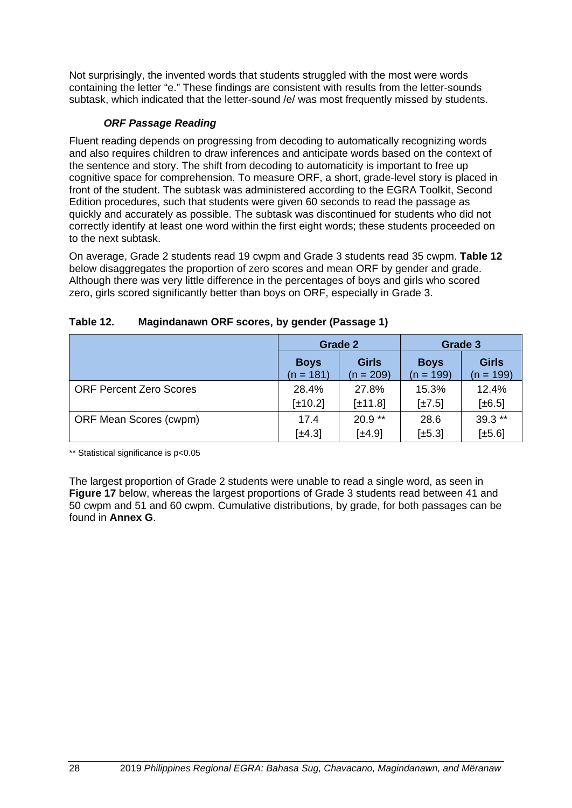Not surprisingly, the invented words that students struggled with the most were words containing the letter "e." These findings are consistent with results from the letter-sounds subtask, which indicated that the letter-sound /e/ was most frequently missed by students.

#### *ORF Passage Reading*

<span id="page-35-0"></span>Fluent reading depends on progressing from decoding to automatically recognizing words and also requires children to draw inferences and anticipate words based on the context of the sentence and story. The shift from decoding to automaticity is important to free up cognitive space for comprehension. To measure ORF, a short, grade-level story is placed in front of the student. The subtask was administered according to the EGRA Toolkit, Second Edition procedures, such that students were given 60 seconds to read the passage as quickly and accurately as possible. The subtask was discontinued for students who did not correctly identify at least one word within the first eight words; these students proceeded on to the next subtask.

On average, Grade 2 students read 19 cwpm and Grade 3 students read 35 cwpm. **[Table 12](#page-35-1)** below disaggregates the proportion of zero scores and mean ORF by gender and grade. Although there was very little difference in the percentages of boys and girls who scored zero, girls scored significantly better than boys on ORF, especially in Grade 3.

|                                |                            | <b>Grade 2</b>              | Grade 3                    |                             |  |
|--------------------------------|----------------------------|-----------------------------|----------------------------|-----------------------------|--|
|                                | <b>Boys</b><br>$(n = 181)$ | <b>Girls</b><br>$(n = 209)$ | <b>Boys</b><br>$(n = 199)$ | <b>Girls</b><br>$(n = 199)$ |  |
| <b>ORF Percent Zero Scores</b> | 28.4%                      | 27.8%                       | 15.3%                      | 12.4%                       |  |
|                                | $[\pm 10.2]$               | $[\pm 11.8]$                | $\lfloor \pm 7.5 \rfloor$  | $[\pm 6.5]$                 |  |
| ORF Mean Scores (cwpm)         | 17.4                       | $20.9**$                    | 28.6                       | $39.3**$                    |  |
|                                | $[\pm 4.3]$                | $\pm 4.9$                   | $[\pm 5.3]$                | $[\pm 5.6]$                 |  |

#### <span id="page-35-1"></span>**Table 12. Magindanawn ORF scores, by gender (Passage 1)**

\*\* Statistical significance is p<0.05

The largest proportion of Grade 2 students were unable to read a single word, as seen in **[Figure 17](#page-36-0)** below, whereas the largest proportions of Grade 3 students read between 41 and 50 cwpm and 51 and 60 cwpm. Cumulative distributions, by grade, for both passages can be found in **Annex G**.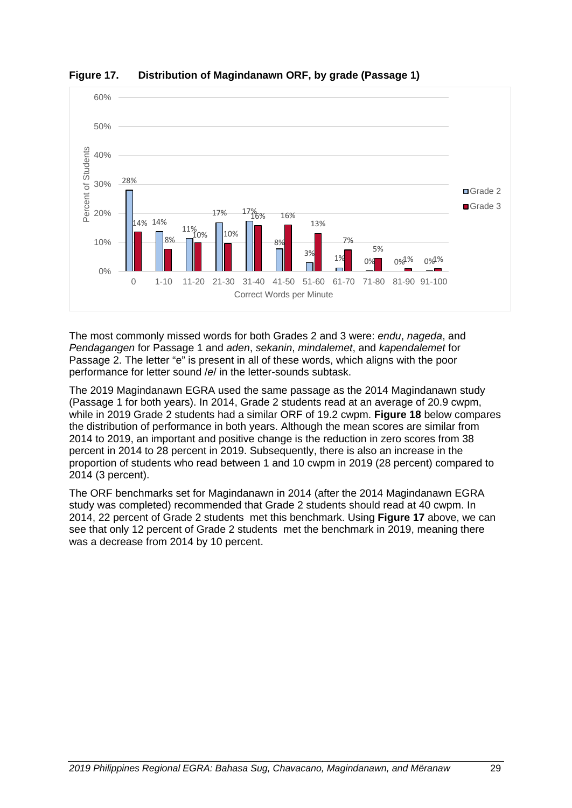

<span id="page-36-0"></span>**Figure 17. Distribution of Magindanawn ORF, by grade (Passage 1)** 

The most commonly missed words for both Grades 2 and 3 were: *endu*, *nageda*, and *Pendagangen* for Passage 1 and *aden*, *sekanin*, *mindalemet*, and *kapendalemet* for Passage 2. The letter "e" is present in all of these words, which aligns with the poor performance for letter sound /*e*/ in the letter-sounds subtask.

The 2019 Magindanawn EGRA used the same passage as the 2014 Magindanawn study (Passage 1 for both years). In 2014, Grade 2 students read at an average of 20.9 cwpm, while in 2019 Grade 2 students had a similar ORF of 19.2 cwpm. **[Figure 18](#page-37-0)** below compares the distribution of performance in both years. Although the mean scores are similar from 2014 to 2019, an important and positive change is the reduction in zero scores from 38 percent in 2014 to 28 percent in 2019. Subsequently, there is also an increase in the proportion of students who read between 1 and 10 cwpm in 2019 (28 percent) compared to 2014 (3 percent).

The ORF benchmarks set for Magindanawn in 2014 (after the 2014 Magindanawn EGRA study was completed) recommended that Grade 2 students should read at 40 cwpm. In 2014, 22 percent of Grade 2 students met this benchmark. Using **[Figure 17](#page-36-0)** above, we can see that only 12 percent of Grade 2 students met the benchmark in 2019, meaning there was a decrease from 2014 by 10 percent.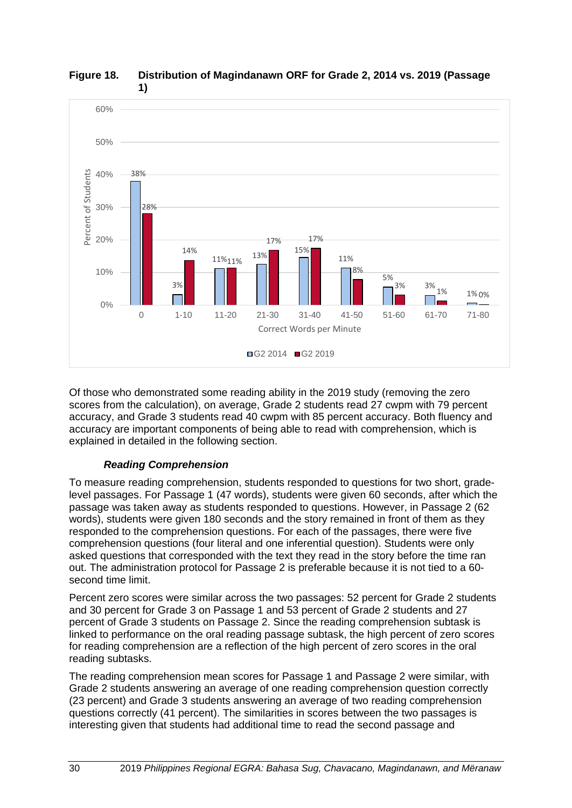

#### <span id="page-37-0"></span>**Figure 18. Distribution of Magindanawn ORF for Grade 2, 2014 vs. 2019 (Passage 1)**

Of those who demonstrated some reading ability in the 2019 study (removing the zero scores from the calculation), on average, Grade 2 students read 27 cwpm with 79 percent accuracy, and Grade 3 students read 40 cwpm with 85 percent accuracy. Both fluency and accuracy are important components of being able to read with comprehension, which is explained in detailed in the following section.

# *Reading Comprehension*

To measure reading comprehension, students responded to questions for two short, gradelevel passages. For Passage 1 (47 words), students were given 60 seconds, after which the passage was taken away as students responded to questions. However, in Passage 2 (62 words), students were given 180 seconds and the story remained in front of them as they responded to the comprehension questions. For each of the passages, there were five comprehension questions (four literal and one inferential question). Students were only asked questions that corresponded with the text they read in the story before the time ran out. The administration protocol for Passage 2 is preferable because it is not tied to a 60 second time limit.

Percent zero scores were similar across the two passages: 52 percent for Grade 2 students and 30 percent for Grade 3 on Passage 1 and 53 percent of Grade 2 students and 27 percent of Grade 3 students on Passage 2. Since the reading comprehension subtask is linked to performance on the oral reading passage subtask, the high percent of zero scores for reading comprehension are a reflection of the high percent of zero scores in the oral reading subtasks.

The reading comprehension mean scores for Passage 1 and Passage 2 were similar, with Grade 2 students answering an average of one reading comprehension question correctly (23 percent) and Grade 3 students answering an average of two reading comprehension questions correctly (41 percent). The similarities in scores between the two passages is interesting given that students had additional time to read the second passage and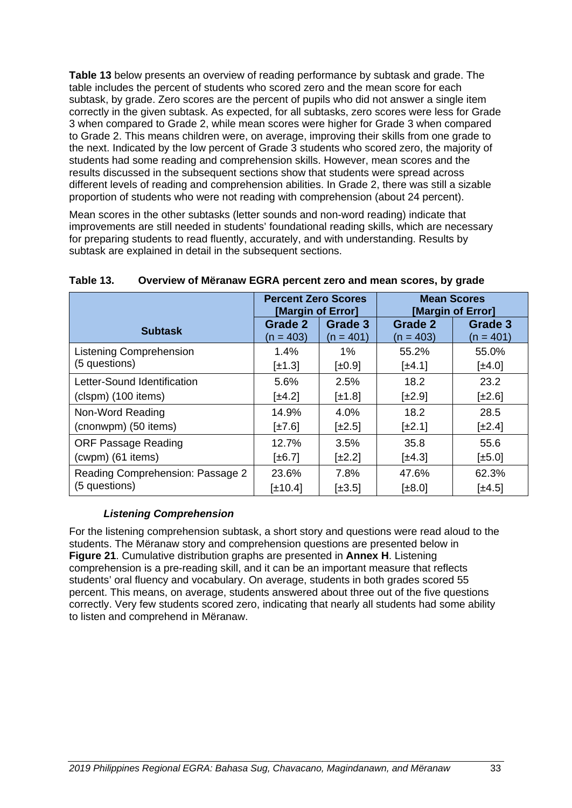**[Table 13](#page-40-0)** below presents an overview of reading performance by subtask and grade. The table includes the percent of students who scored zero and the mean score for each subtask, by grade. Zero scores are the percent of pupils who did not answer a single item correctly in the given subtask. As expected, for all subtasks, zero scores were less for Grade 3 when compared to Grade 2, while mean scores were higher for Grade 3 when compared to Grade 2. This means children were, on average, improving their skills from one grade to the next. Indicated by the low percent of Grade 3 students who scored zero, the majority of students had some reading and comprehension skills. However, mean scores and the results discussed in the subsequent sections show that students were spread across different levels of reading and comprehension abilities. In Grade 2, there was still a sizable proportion of students who were not reading with comprehension (about 24 percent).

Mean scores in the other subtasks (letter sounds and non-word reading) indicate that improvements are still needed in students' foundational reading skills, which are necessary for preparing students to read fluently, accurately, and with understanding. Results by subtask are explained in detail in the subsequent sections.

|                                  | <b>Percent Zero Scores</b><br>[Margin of Error] |             |             | <b>Mean Scores</b><br>[Margin of Error] |  |
|----------------------------------|-------------------------------------------------|-------------|-------------|-----------------------------------------|--|
| <b>Subtask</b>                   | Grade 2                                         | Grade 3     | Grade 2     | Grade 3                                 |  |
|                                  | $(n = 403)$                                     | $(n = 401)$ | $(n = 403)$ | $(n = 401)$                             |  |
| Listening Comprehension          | 1.4%                                            | $1\%$       | 55.2%       | 55.0%                                   |  |
| (5 questions)                    | $\left[\pm 1.3\right]$                          | $\pm 0.9$   | [±4.1]      | $[\pm 4.0]$                             |  |
| Letter-Sound Identification      | 5.6%                                            | 2.5%        | 18.2        | 23.2                                    |  |
| $(clspm)$ (100 items)            | $\lfloor \pm 4.2 \rfloor$                       | $\pm 1.8$   | $[\pm 2.9]$ | $[\pm 2.6]$                             |  |
| Non-Word Reading                 | 14.9%                                           | 4.0%        | 18.2        | 28.5                                    |  |
| (cnonwpm) (50 items)             | $\pm 7.6$                                       | $\pm 2.5$   | $[\pm 2.1]$ | $[\pm 2.4]$                             |  |
| <b>ORF Passage Reading</b>       | 12.7%                                           | 3.5%        | 35.8        | 55.6                                    |  |
| (cwpm) (61 items)                | $\pm 6.7$                                       | $\pm 2.2$   | $\pm 4.3$   | $[\pm 5.0]$                             |  |
| Reading Comprehension: Passage 2 | 23.6%                                           | 7.8%        | 47.6%       | 62.3%                                   |  |
| (5 questions)                    | $[\pm 10.4]$                                    | $[\pm 3.5]$ | [±8.0]      | $[\pm 4.5]$                             |  |

### <span id="page-40-0"></span>**Table 13. Overview of Mëranaw EGRA percent zero and mean scores, by grade**

### *Listening Comprehension*

For the listening comprehension subtask, a short story and questions were read aloud to the students. The Mëranaw story and comprehension questions are presented below in **[Figure](#page-41-0) 21**. Cumulative distribution graphs are presented in **Annex H**. Listening comprehension is a pre-reading skill, and it can be an important measure that reflects students' oral fluency and vocabulary. On average, students in both grades scored 55 percent. This means, on average, students answered about three out of the five questions correctly. Very few students scored zero, indicating that nearly all students had some ability to listen and comprehend in Mëranaw.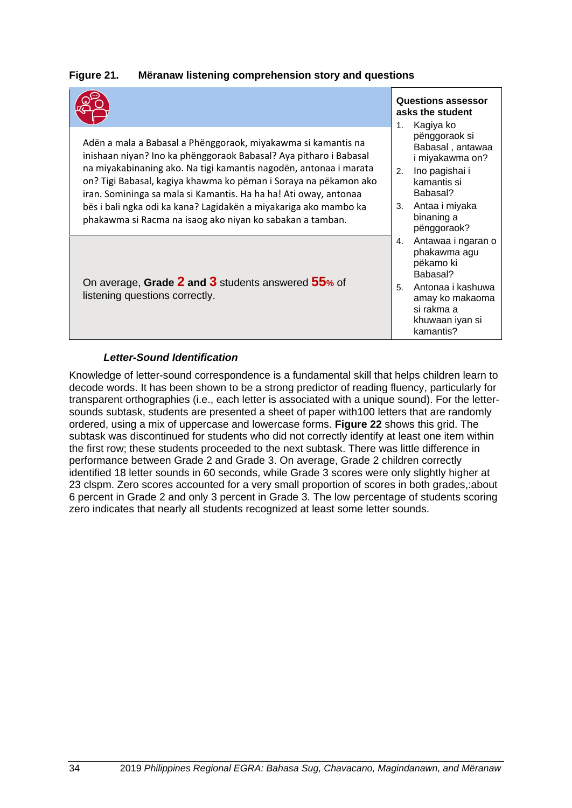# <span id="page-41-0"></span>**Figure 21. Mëranaw listening comprehension story and questions**

|                                                                                                                                                                                                                                                                                                                                                                                                                     |          | <b>Questions assessor</b><br>asks the student<br>Kagiya ko<br>1.                                                    |  |  |
|---------------------------------------------------------------------------------------------------------------------------------------------------------------------------------------------------------------------------------------------------------------------------------------------------------------------------------------------------------------------------------------------------------------------|----------|---------------------------------------------------------------------------------------------------------------------|--|--|
| Adën a mala a Babasal a Phënggoraok, miyakawma si kamantis na<br>inishaan niyan? Ino ka phënggoraok Babasal? Aya pitharo i Babasal<br>na miyakabinaning ako. Na tigi kamantis nagodën, antonaa i marata<br>on? Tigi Babasal, kagiya khawma ko pëman i Soraya na pëkamon ako<br>iran. Somininga sa mala si Kamantis. Ha ha ha! Ati oway, antonaa<br>bës i bali ngka odi ka kana? Lagidakën a miyakariga ako mambo ka | 2.<br>3. | pënggoraok si<br>Babasal, antawaa<br>i miyakawma on?<br>Ino pagishai i<br>kamantis si<br>Babasal?<br>Antaa i miyaka |  |  |
| phakawma si Racma na isaog ako niyan ko sabakan a tamban.                                                                                                                                                                                                                                                                                                                                                           |          | binaning a<br>pënggoraok?                                                                                           |  |  |
| On average, Grade $2$ and $3$ students answered $55$ % of<br>listening questions correctly.                                                                                                                                                                                                                                                                                                                         |          | Antawaa i ngaran o<br>phakawma agu<br>pëkamo ki<br>Babasal?<br>Antonaa i kashuwa                                    |  |  |
|                                                                                                                                                                                                                                                                                                                                                                                                                     |          | amay ko makaoma<br>si rakma a<br>khuwaan iyan si<br>kamantis?                                                       |  |  |

### *Letter-Sound Identification*

Knowledge of letter-sound correspondence is a fundamental skill that helps children learn to decode words. It has been shown to be a strong predictor of reading fluency, particularly for transparent orthographies (i.e., each letter is associated with a unique sound). For the lettersounds subtask, students are presented a sheet of paper with100 letters that are randomly ordered, using a mix of uppercase and lowercase forms. **[Figure 22](#page-42-0)** shows this grid. The subtask was discontinued for students who did not correctly identify at least one item within the first row; these students proceeded to the next subtask. There was little difference in performance between Grade 2 and Grade 3. On average, Grade 2 children correctly identified 18 letter sounds in 60 seconds, while Grade 3 scores were only slightly higher at 23 clspm. Zero scores accounted for a very small proportion of scores in both grades,:about 6 percent in Grade 2 and only 3 percent in Grade 3. The low percentage of students scoring zero indicates that nearly all students recognized at least some letter sounds.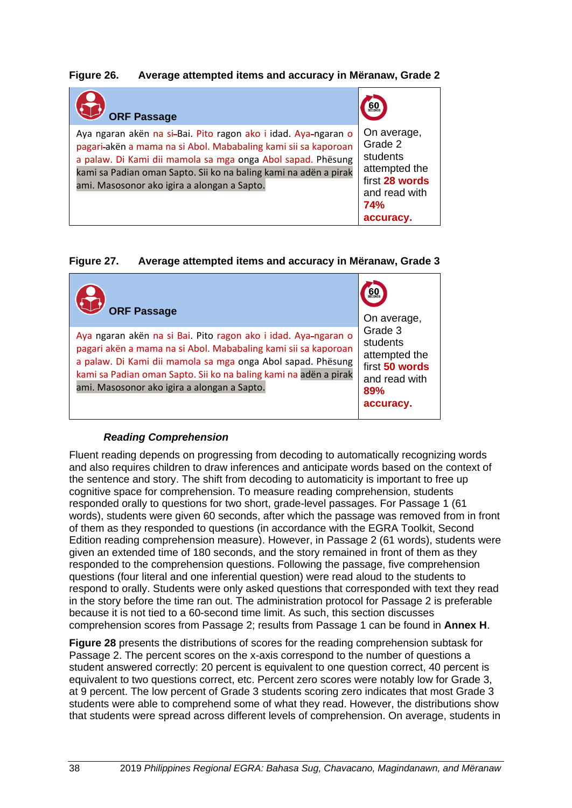# **Figure 26. Average attempted items and accuracy in Mëranaw, Grade 2**

| <b>ORF Passage</b>                                                                                                                                                                                                                                                                                                 | 60                                                                                                                |
|--------------------------------------------------------------------------------------------------------------------------------------------------------------------------------------------------------------------------------------------------------------------------------------------------------------------|-------------------------------------------------------------------------------------------------------------------|
| Aya ngaran akën na si-Bai. Pito ragon ako i idad. Aya-ngaran o<br>pagari-akën a mama na si Abol. Mababaling kami sii sa kaporoan<br>a palaw. Di Kami dii mamola sa mga onga Abol sapad. Phësung<br>kami sa Padian oman Sapto. Sii ko na baling kami na adën a pirak<br>ami. Masosonor ako igira a alongan a Sapto. | On average,<br>Grade 2<br>students<br>attempted the<br>first 28 words<br>and read with<br><b>74%</b><br>accuracy. |

## **Figure 27. Average attempted items and accuracy in Mëranaw, Grade 3**

| <b>ORF Passage</b>                                                                                                                                                                                                                                                                                                 | 60<br>On average,                                                                           |
|--------------------------------------------------------------------------------------------------------------------------------------------------------------------------------------------------------------------------------------------------------------------------------------------------------------------|---------------------------------------------------------------------------------------------|
| Aya ngaran akën na si Bai. Pito ragon ako i idad. Aya-ngaran o<br>pagari akën a mama na si Abol. Mababaling kami sii sa kaporoan<br>a palaw. Di Kami dii mamola sa mga onga Abol sapad. Phësung<br>kami sa Padian oman Sapto. Sii ko na baling kami na adën a pirak<br>ami. Masosonor ako igira a alongan a Sapto. | Grade 3<br>students<br>attempted the<br>first 50 words<br>and read with<br>89%<br>accuracy. |

### *Reading Comprehension*

Fluent reading depends on progressing from decoding to automatically recognizing words and also requires children to draw inferences and anticipate words based on the context of the sentence and story. The shift from decoding to automaticity is important to free up cognitive space for comprehension. To measure reading comprehension, students responded orally to questions for two short, grade-level passages. For Passage 1 (61 words), students were given 60 seconds, after which the passage was removed from in front of them as they responded to questions (in accordance with the EGRA Toolkit, Second Edition reading comprehension measure). However, in Passage 2 (61 words), students were given an extended time of 180 seconds, and the story remained in front of them as they responded to the comprehension questions. Following the passage, five comprehension questions (four literal and one inferential question) were read aloud to the students to respond to orally. Students were only asked questions that corresponded with text they read in the story before the time ran out. The administration protocol for Passage 2 is preferable because it is not tied to a 60-second time limit. As such, this section discusses comprehension scores from Passage 2; results from Passage 1 can be found in **Annex H**.

**[Figure 28](#page-46-0)** presents the distributions of scores for the reading comprehension subtask for Passage 2. The percent scores on the x-axis correspond to the number of questions a student answered correctly: 20 percent is equivalent to one question correct, 40 percent is equivalent to two questions correct, etc. Percent zero scores were notably low for Grade 3, at 9 percent. The low percent of Grade 3 students scoring zero indicates that most Grade 3 students were able to comprehend some of what they read. However, the distributions show that students were spread across different levels of comprehension. On average, students in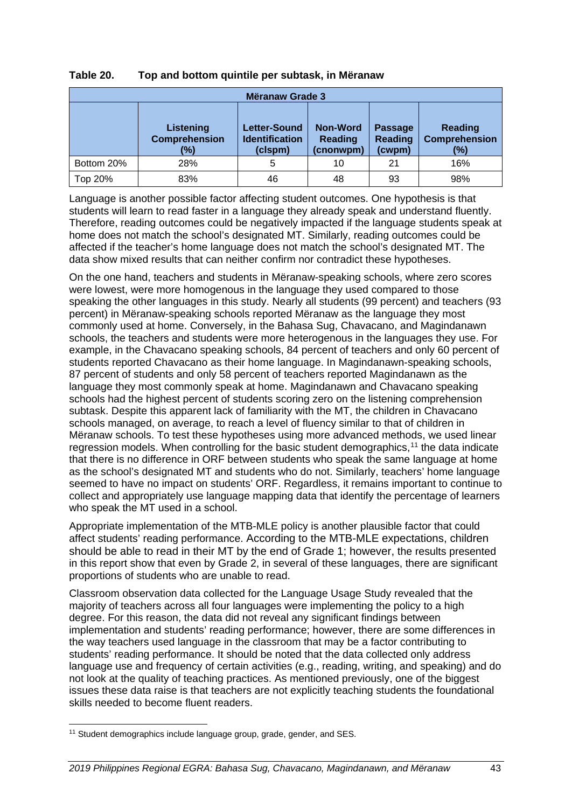| Mëranaw Grade 3 |                                          |                                                  |                                         |                                            |                                        |  |
|-----------------|------------------------------------------|--------------------------------------------------|-----------------------------------------|--------------------------------------------|----------------------------------------|--|
|                 | Listening<br><b>Comprehension</b><br>(%) | Letter-Sound<br><b>Identification</b><br>(clspm) | Non-Word<br><b>Reading</b><br>(cnonwpm) | <b>Passage</b><br><b>Reading</b><br>(cwpm) | Reading<br><b>Comprehension</b><br>(%) |  |
| Bottom 20%      | 28%                                      | 5                                                | 10                                      | 21                                         | 16%                                    |  |
| Top 20%         | 83%                                      | 46                                               | 48                                      | 93                                         | 98%                                    |  |

## **Table 20. Top and bottom quintile per subtask, in Mëranaw**

Language is another possible factor affecting student outcomes. One hypothesis is that students will learn to read faster in a language they already speak and understand fluently. Therefore, reading outcomes could be negatively impacted if the language students speak at home does not match the school's designated MT. Similarly, reading outcomes could be affected if the teacher's home language does not match the school's designated MT. The data show mixed results that can neither confirm nor contradict these hypotheses.

On the one hand, teachers and students in Mëranaw-speaking schools, where zero scores were lowest, were more homogenous in the language they used compared to those speaking the other languages in this study. Nearly all students (99 percent) and teachers (93 percent) in Mëranaw-speaking schools reported Mëranaw as the language they most commonly used at home. Conversely, in the Bahasa Sug, Chavacano, and Magindanawn schools, the teachers and students were more heterogenous in the languages they use. For example, in the Chavacano speaking schools, 84 percent of teachers and only 60 percent of students reported Chavacano as their home language. In Magindanawn-speaking schools, 87 percent of students and only 58 percent of teachers reported Magindanawn as the language they most commonly speak at home. Magindanawn and Chavacano speaking schools had the highest percent of students scoring zero on the listening comprehension subtask. Despite this apparent lack of familiarity with the MT, the children in Chavacano schools managed, on average, to reach a level of fluency similar to that of children in Mëranaw schools. To test these hypotheses using more advanced methods, we used linear regression models. When controlling for the basic student demographics,<sup>[11](#page-50-0)</sup> the data indicate that there is no difference in ORF between students who speak the same language at home as the school's designated MT and students who do not. Similarly, teachers' home language seemed to have no impact on students' ORF. Regardless, it remains important to continue to collect and appropriately use language mapping data that identify the percentage of learners who speak the MT used in a school.

Appropriate implementation of the MTB-MLE policy is another plausible factor that could affect students' reading performance. According to the MTB-MLE expectations, children should be able to read in their MT by the end of Grade 1; however, the results presented in this report show that even by Grade 2, in several of these languages, there are significant proportions of students who are unable to read.

Classroom observation data collected for the Language Usage Study revealed that the majority of teachers across all four languages were implementing the policy to a high degree. For this reason, the data did not reveal any significant findings between implementation and students' reading performance; however, there are some differences in the way teachers used language in the classroom that may be a factor contributing to students' reading performance. It should be noted that the data collected only address language use and frequency of certain activities (e.g., reading, writing, and speaking) and do not look at the quality of teaching practices. As mentioned previously, one of the biggest issues these data raise is that teachers are not explicitly teaching students the foundational skills needed to become fluent readers.

<span id="page-50-0"></span><sup>&</sup>lt;sup>11</sup> Student demographics include language group, grade, gender, and SES.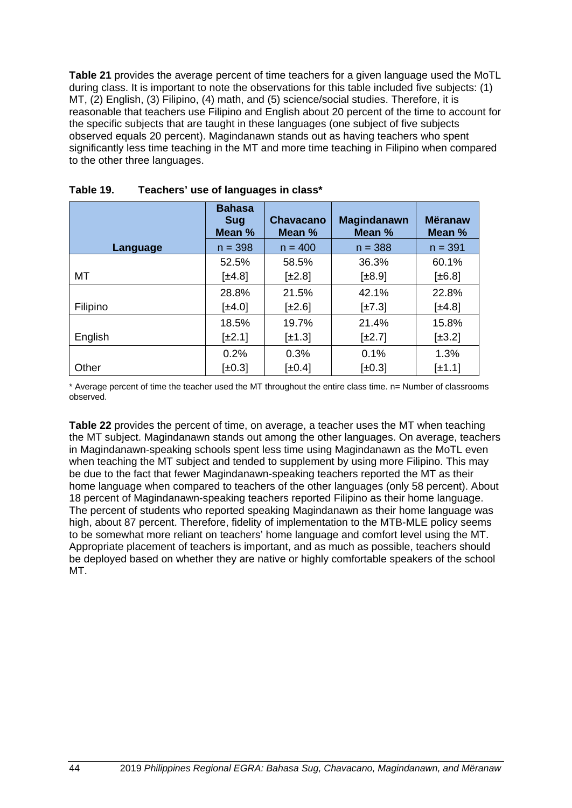**[Table 21](#page-51-0)** provides the average percent of time teachers for a given language used the MoTL during class. It is important to note the observations for this table included five subjects: (1) MT, (2) English, (3) Filipino, (4) math, and (5) science/social studies. Therefore, it is reasonable that teachers use Filipino and English about 20 percent of the time to account for the specific subjects that are taught in these languages (one subject of five subjects observed equals 20 percent). Magindanawn stands out as having teachers who spent significantly less time teaching in the MT and more time teaching in Filipino when compared to the other three languages.

|          | <b>Bahasa</b><br><b>Sug</b><br>Mean % | <b>Chavacano</b><br>Mean % | <b>Magindanawn</b><br>Mean % | <b>Mëranaw</b><br>Mean % |
|----------|---------------------------------------|----------------------------|------------------------------|--------------------------|
| Language | $n = 398$                             | $n = 400$                  | $n = 388$                    | $n = 391$                |
|          | 52.5%                                 | 58.5%                      | 36.3%                        | 60.1%                    |
| MT       | $\pm 4.8$                             | $[\pm 2.8]$                | $[\pm 8.9]$                  | $\pm 6.8$ ]              |
|          | 28.8%                                 | 21.5%                      | 42.1%                        | 22.8%                    |
| Filipino | $\pm 4.0$                             | $[\pm 2.6]$                | $\pm 7.3$                    | $\pm 4.8$                |
|          | 18.5%                                 | 19.7%                      | 21.4%                        | 15.8%                    |
| English  | $[\pm 2.1]$                           | $[\pm 1.3]$                | $[\pm 2.7]$                  | $[\pm 3.2]$              |
|          | 0.2%                                  | 0.3%                       | 0.1%                         | 1.3%                     |
| Other    | $[\pm 0.3]$                           | $\pm 0.4$                  | $[\pm 0.3]$                  | $[\pm 1.1]$              |

<span id="page-51-0"></span>

| Table 19. |  |  | Teachers' use of languages in class* |  |
|-----------|--|--|--------------------------------------|--|
|-----------|--|--|--------------------------------------|--|

\* Average percent of time the teacher used the MT throughout the entire class time. n= Number of classrooms observed.

**[Table 22](#page-52-0)** provides the percent of time, on average, a teacher uses the MT when teaching the MT subject. Magindanawn stands out among the other languages. On average, teachers in Magindanawn-speaking schools spent less time using Magindanawn as the MoTL even when teaching the MT subject and tended to supplement by using more Filipino. This may be due to the fact that fewer Magindanawn-speaking teachers reported the MT as their home language when compared to teachers of the other languages (only 58 percent). About 18 percent of Magindanawn-speaking teachers reported Filipino as their home language. The percent of students who reported speaking Magindanawn as their home language was high, about 87 percent. Therefore, fidelity of implementation to the MTB-MLE policy seems to be somewhat more reliant on teachers' home language and comfort level using the MT. Appropriate placement of teachers is important, and as much as possible, teachers should be deployed based on whether they are native or highly comfortable speakers of the school MT.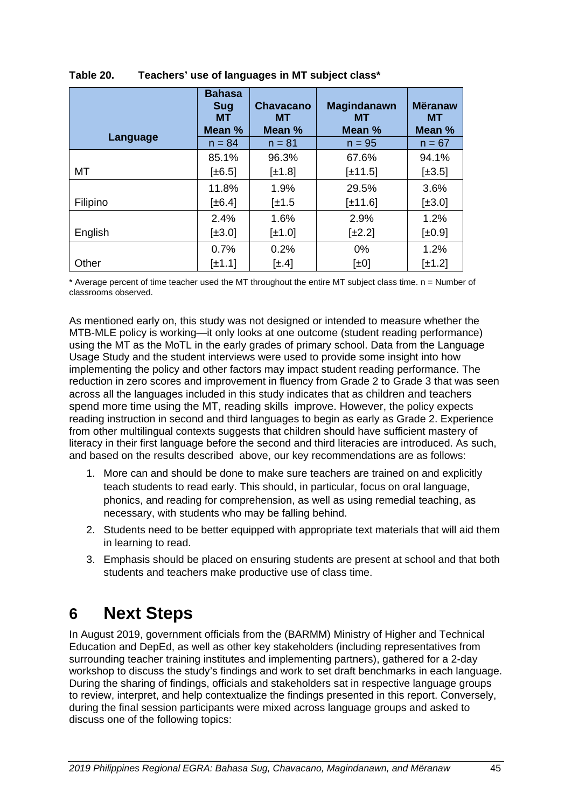|          | <b>Bahasa</b><br><b>Sug</b><br>MT. | <b>Chavacano</b><br>MТ | <b>Magindanawn</b><br>MТ | <b>Mëranaw</b><br>MТ |
|----------|------------------------------------|------------------------|--------------------------|----------------------|
|          | Mean %                             | Mean %                 | Mean %                   | Mean %               |
| Language | $n = 84$                           | $n = 81$               | $n = 95$                 | $n = 67$             |
|          | 85.1%                              | 96.3%                  | 67.6%                    | 94.1%                |
| МT       | $\pm 6.5$                          | $[\pm 1.8]$            | $[\pm 11.5]$             | $[\pm 3.5]$          |
|          | 11.8%                              | 1.9%                   | 29.5%                    | 3.6%                 |
| Filipino | $[\pm 6.4]$                        | $\pm 1.5$              | $[\pm 11.6]$             | $[\pm 3.0]$          |
|          | 2.4%                               | 1.6%                   | 2.9%                     | 1.2%                 |
| English  | $[\pm 3.0]$                        | $\pm 1.0$              | $[\pm 2.2]$              | $[\pm 0.9]$          |
|          | 0.7%                               | 0.2%                   | 0%                       | 1.2%                 |
| Other    | $[\pm 1.1]$                        | $[\pm .4]$             | $[\pm 0]$                | $[\pm 1.2]$          |

# <span id="page-52-0"></span>**Table 20. Teachers' use of languages in MT subject class\***

\* Average percent of time teacher used the MT throughout the entire MT subject class time. n = Number of classrooms observed.

As mentioned early on, this study was not designed or intended to measure whether the MTB-MLE policy is working—it only looks at one outcome (student reading performance) using the MT as the MoTL in the early grades of primary school. Data from the Language Usage Study and the student interviews were used to provide some insight into how implementing the policy and other factors may impact student reading performance. The reduction in zero scores and improvement in fluency from Grade 2 to Grade 3 that was seen across all the languages included in this study indicates that as children and teachers spend more time using the MT, reading skills improve. However, the policy expects reading instruction in second and third languages to begin as early as Grade 2. Experience from other multilingual contexts suggests that children should have sufficient mastery of literacy in their first language before the second and third literacies are introduced. As such, and based on the results described above, our key recommendations are as follows:

- 1. More can and should be done to make sure teachers are trained on and explicitly teach students to read early. This should, in particular, focus on oral language, phonics, and reading for comprehension, as well as using remedial teaching, as necessary, with students who may be falling behind.
- 2. Students need to be better equipped with appropriate text materials that will aid them in learning to read.
- 3. Emphasis should be placed on ensuring students are present at school and that both students and teachers make productive use of class time.

# **6 Next Steps**

In August 2019, government officials from the (BARMM) Ministry of Higher and Technical Education and DepEd, as well as other key stakeholders (including representatives from surrounding teacher training institutes and implementing partners), gathered for a 2-day workshop to discuss the study's findings and work to set draft benchmarks in each language. During the sharing of findings, officials and stakeholders sat in respective language groups to review, interpret, and help contextualize the findings presented in this report. Conversely, during the final session participants were mixed across language groups and asked to discuss one of the following topics: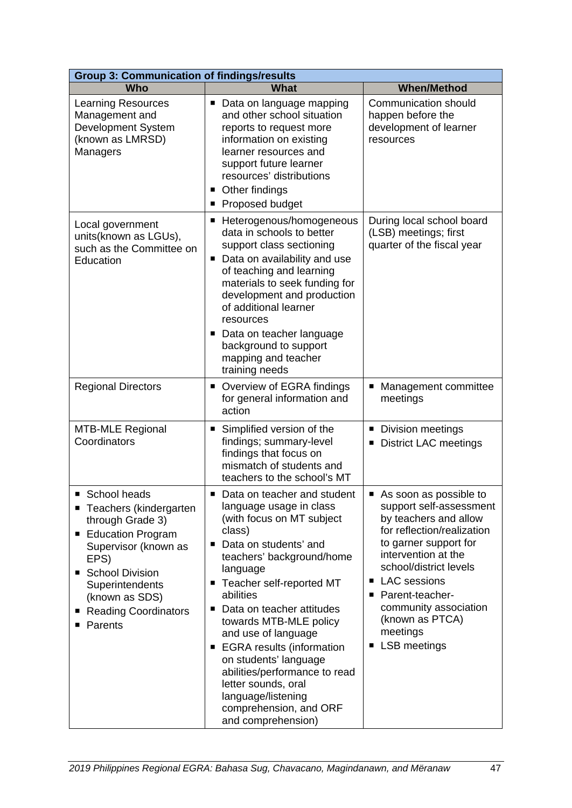| <b>Group 3: Communication of findings/results</b>                                                                                                                                                                                         |                                                                                                                                                                                                                                                                                                                                                                                                                                                                                                         |                                                                                                                                                                                                                                                                                                                       |  |  |
|-------------------------------------------------------------------------------------------------------------------------------------------------------------------------------------------------------------------------------------------|---------------------------------------------------------------------------------------------------------------------------------------------------------------------------------------------------------------------------------------------------------------------------------------------------------------------------------------------------------------------------------------------------------------------------------------------------------------------------------------------------------|-----------------------------------------------------------------------------------------------------------------------------------------------------------------------------------------------------------------------------------------------------------------------------------------------------------------------|--|--|
| Who                                                                                                                                                                                                                                       | <b>What</b>                                                                                                                                                                                                                                                                                                                                                                                                                                                                                             | <b>When/Method</b>                                                                                                                                                                                                                                                                                                    |  |  |
| <b>Learning Resources</b><br>Management and<br>Development System<br>(known as LMRSD)<br>Managers                                                                                                                                         | Data on language mapping<br>п<br>and other school situation<br>reports to request more<br>information on existing<br>learner resources and<br>support future learner<br>resources' distributions<br>Other findings<br>п<br>Proposed budget                                                                                                                                                                                                                                                              | <b>Communication should</b><br>happen before the<br>development of learner<br>resources                                                                                                                                                                                                                               |  |  |
| Local government<br>units(known as LGUs),<br>such as the Committee on<br>Education                                                                                                                                                        | ■ Heterogenous/homogeneous<br>data in schools to better<br>support class sectioning<br>Data on availability and use<br>п<br>of teaching and learning<br>materials to seek funding for<br>development and production<br>of additional learner<br>resources<br>• Data on teacher language<br>background to support<br>mapping and teacher<br>training needs                                                                                                                                               | During local school board<br>(LSB) meetings; first<br>quarter of the fiscal year                                                                                                                                                                                                                                      |  |  |
| <b>Regional Directors</b>                                                                                                                                                                                                                 | Overview of EGRA findings<br>п<br>for general information and<br>action                                                                                                                                                                                                                                                                                                                                                                                                                                 | Management committee<br>ш<br>meetings                                                                                                                                                                                                                                                                                 |  |  |
| <b>MTB-MLE Regional</b><br>Coordinators                                                                                                                                                                                                   | Simplified version of the<br>п<br>findings; summary-level<br>findings that focus on<br>mismatch of students and<br>teachers to the school's MT                                                                                                                                                                                                                                                                                                                                                          | Division meetings<br>ш<br><b>District LAC meetings</b><br>ш                                                                                                                                                                                                                                                           |  |  |
| School heads<br>Teachers (kindergarten<br>through Grade 3)<br><b>Education Program</b><br>п<br>Supervisor (known as<br>EPS)<br><b>School Division</b><br>Superintendents<br>(known as SDS)<br><b>Reading Coordinators</b><br>■<br>Parents | ■ Data on teacher and student<br>language usage in class<br>(with focus on MT subject<br>class)<br>Data on students' and<br>п<br>teachers' background/home<br>language<br>Teacher self-reported MT<br>п<br>abilities<br>Data on teacher attitudes<br>п<br>towards MTB-MLE policy<br>and use of language<br><b>EGRA</b> results (information<br>п<br>on students' language<br>abilities/performance to read<br>letter sounds, oral<br>language/listening<br>comprehension, and ORF<br>and comprehension) | As soon as possible to<br>support self-assessment<br>by teachers and allow<br>for reflection/realization<br>to garner support for<br>intervention at the<br>school/district levels<br><b>LAC</b> sessions<br>Parent-teacher-<br>п<br>community association<br>(known as PTCA)<br>meetings<br><b>LSB</b> meetings<br>п |  |  |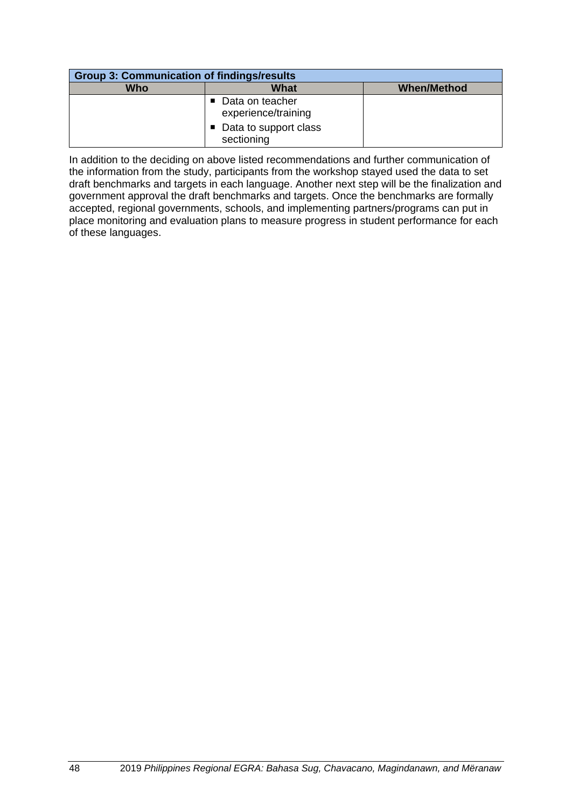| <b>Group 3: Communication of findings/results</b> |                                          |                    |  |  |
|---------------------------------------------------|------------------------------------------|--------------------|--|--|
| <b>Who</b>                                        | What                                     | <b>When/Method</b> |  |  |
|                                                   | ■ Data on teacher<br>experience/training |                    |  |  |
|                                                   | ■ Data to support class<br>sectioning    |                    |  |  |

In addition to the deciding on above listed recommendations and further communication of the information from the study, participants from the workshop stayed used the data to set draft benchmarks and targets in each language. Another next step will be the finalization and government approval the draft benchmarks and targets. Once the benchmarks are formally accepted, regional governments, schools, and implementing partners/programs can put in place monitoring and evaluation plans to measure progress in student performance for each of these languages.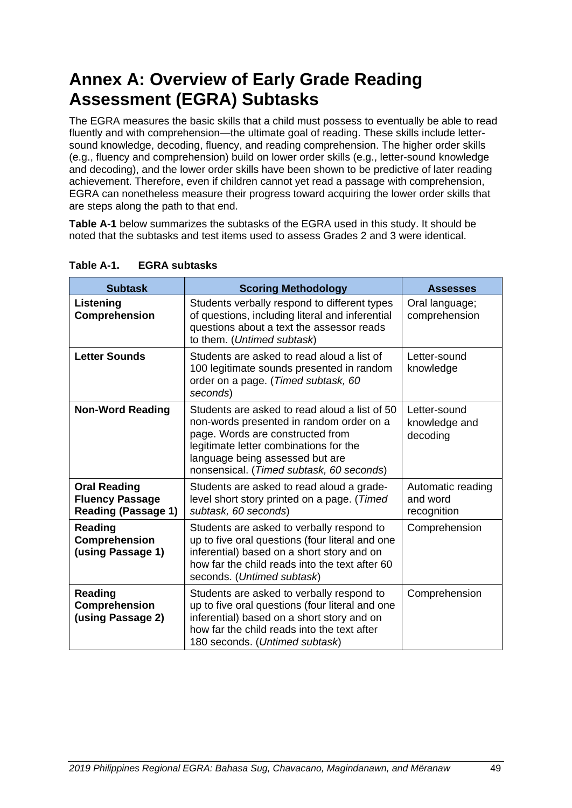#### Figure 26. Average attempted items and accuracy in Meranaw, Grade 2

| <b>ORF Passage</b>                                                                                                                                                                                                                                                                                   |                                                                                                 |
|------------------------------------------------------------------------------------------------------------------------------------------------------------------------------------------------------------------------------------------------------------------------------------------------------|-------------------------------------------------------------------------------------------------|
| Aya ngaran ain na siBa. Pito ragon ako iidad. Aya ngarano<br>pagariakën a mama na si Abol. Mababaling kami sii sa kaporogiade 2<br>a palaw. Di Kami dii mamola sa mga orAdaol sapad.Phesung<br>kami sa Padian oman Sapto. Sii ko na baling kamienaapirak<br>ami. Masosonor ako igira a alongarSapto. | On average,<br>students<br>attempted the<br>first 28 words<br>and read with<br>74%<br>accuracy. |

#### Average attempted items and accuracy in Meranaw, Grade 3 Figure 27.

| <b>ORF Passage</b>                                                                                                                               | On average,    |
|--------------------------------------------------------------------------------------------------------------------------------------------------|----------------|
| Ayangaran alen na si BaiPito ragon ako i idadAyangaran o                                                                                         | Grade 3        |
| pagari alin a mama na si Abol. Mababaling kami sii sa kaporoan<br>e nalaw Di Kami dii mamala sa mana na si Abol. Mababaling kami sii sa kaporoan | first 50 words |
| a palaw. Di Kami dii mamola sa mga on mal sapad. Pesung                                                                                          | and read with  |
| kami sa Padian oman Sapto. Sii ko na baling kamienaapirak                                                                                        | 89%            |
| ami. Masosonor ako igira a alongarSapto.                                                                                                         | accuracy.      |

# Reading Comprehension

Fluent reading depends on progressing from decoding to automatically recognizing words and also requires children to draw inferences and anticipate words based on the context of the sentence and story. The shift from decoding to automaticity is important to free up cognitive space for comprehension. To measure reading comprehension, students responded orally to questions for two short, grade-level passages. For Passage 1 (61) words), students were given 60 seconds, after which the passage was removed from in front of them as they responded to questions (in accordance with the EGRA Toolkit, Second Edition reading comprehension measure). However, in Passage 2 (61 words), students were given an extended time of 180 seconds, and the story remained in front of them as they responded to the comprehension questions. Following the passage, five comprehension questions (four literal and one inferential question) were read aloud to the students to respond to orally. Students were only asked questions that corresponded with text they read in the story before the time ran out. The administration protocol for Passage 2 is preferable because it is not tied to a 60-second time limit. As such, this section discusses comprehension scores from Passage 2; results from Passage 1 can be found in Annex H.

Figure 28 presents the distributions of scores for the reading comprehension subtask for Passage 2. The percent scores on the x-axis correspond to the number of questions a student answered correctly: 20 percent is equivalent to one question correct, 40 percent is equivalent to two questions correct, etc. Percent zero scores were notably low for Grade 3, at 9 percent. The low percent of Grade 3 students scoring zero indicates that most Grade 3 students were able to comprehend some of what they read. However, the distributions show that students were spread across different levels of comprehension. On average, students in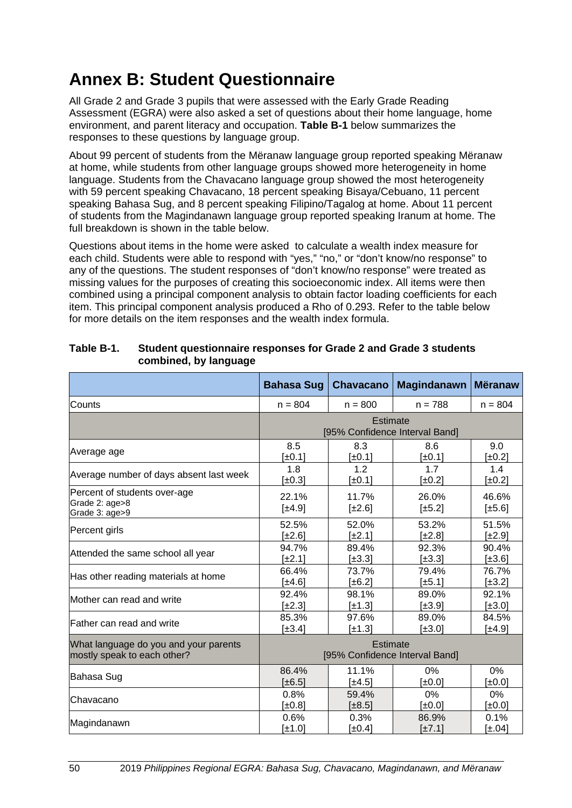# **Annex B: Student Questionnaire**

All Grade 2 and Grade 3 pupils that were assessed with the Early Grade Reading Assessment (EGRA) were also asked a set of questions about their home language, home environment, and parent literacy and occupation. **Table B-1** below summarizes the responses to these questions by language group.

About 99 percent of students from the Mëranaw language group reported speaking Mëranaw at home, while students from other language groups showed more heterogeneity in home language. Students from the Chavacano language group showed the most heterogeneity with 59 percent speaking Chavacano, 18 percent speaking Bisaya/Cebuano, 11 percent speaking Bahasa Sug, and 8 percent speaking Filipino/Tagalog at home. About 11 percent of students from the Magindanawn language group reported speaking Iranum at home. The full breakdown is shown in the table below.

Questions about items in the home were asked to calculate a wealth index measure for each child. Students were able to respond with "yes," "no," or "don't know/no response" to any of the questions. The student responses of "don't know/no response" were treated as missing values for the purposes of creating this socioeconomic index. All items were then combined using a principal component analysis to obtain factor loading coefficients for each item. This principal component analysis produced a Rho of 0.293. Refer to the table below for more details on the item responses and the wealth index formula.

|                                                                  | <b>Bahasa Sug</b>                                 | <b>Chavacano</b>     | <b>Magindanawn</b> | <b>Mëranaw</b>  |
|------------------------------------------------------------------|---------------------------------------------------|----------------------|--------------------|-----------------|
| Counts                                                           | $n = 804$                                         | $n = 800$            | $n = 788$          | $n = 804$       |
|                                                                  | <b>Estimate</b><br>[95% Confidence Interval Band] |                      |                    |                 |
| Average age                                                      | 8.5                                               | 8.3                  | 8.6                | 9.0             |
|                                                                  | $[\pm 0.1]$                                       | $\pm 0.1$            | [ $\pm 0.1$ ]      | $\pmb{\pm}0.2$  |
| Average number of days absent last week                          | 1.8                                               | 1.2                  | 1.7                | 1.4             |
|                                                                  | $[\pm 0.3]$                                       | [±0.1]               | $[\pm 0.2]$        | $\pm 0.2$       |
| Percent of students over-age<br>Grade 2: age>8<br>Grade 3: age>9 | 22.1%<br>[±4.9]                                   | 11.7%<br>$[\pm 2.6]$ | 26.0%<br>[±5.2]    | 46.6%<br>[±5.6] |
| Percent girls                                                    | 52.5%                                             | 52.0%                | 53.2%              | 51.5%           |
|                                                                  | [±2.6]                                            | [±2.1]               | $[\pm 2.8]$        | [±2.9]          |
| Attended the same school all year                                | 94.7%                                             | 89.4%                | 92.3%              | 90.4%           |
|                                                                  | $[\pm 2.1]$                                       | $[\pm 3.3]$          | [±3.3]             | $[\pm 3.6]$     |
| Has other reading materials at home                              | 66.4%                                             | 73.7%                | 79.4%              | 76.7%           |
|                                                                  | [±4.6]                                            | $[\pm 6.2]$          | [±5.1]             | [±3.2]          |
| Mother can read and write                                        | 92.4%                                             | 98.1%                | 89.0%              | 92.1%           |
|                                                                  | $[\pm 2.3]$                                       | [±1.3]               | $[\pm 3.9]$        | $[\pm 3.0]$     |
| lFather can read and write                                       | 85.3%                                             | 97.6%                | 89.0%              | 84.5%           |
|                                                                  | [±3.4]                                            | [±1.3]               | [±3.0]             | [±4.9]          |
| What language do you and your parents                            | <b>Estimate</b>                                   |                      |                    |                 |
| mostly speak to each other?                                      | [95% Confidence Interval Band]                    |                      |                    |                 |
| Bahasa Sug                                                       | 86.4%                                             | 11.1%                | 0%                 | 0%              |
|                                                                  | $[\pm 6.5]$                                       | [±4.5]               | [±0.0]             | [±0.0]          |
| Chavacano                                                        | 0.8%                                              | 59.4%                | 0%                 | 0%              |
|                                                                  | [±0.8]                                            | [±8.5]               | $[\pm 0.0]$        | [±0.0]          |
| Magindanawn                                                      | 0.6%                                              | 0.3%                 | 86.9%              | 0.1%            |
|                                                                  | [±1.0]                                            | [ $\pm 0.4$ ]        | $[\pm 7.1]$        | [±.04]          |

### **Table B-1. Student questionnaire responses for Grade 2 and Grade 3 students combined, by language**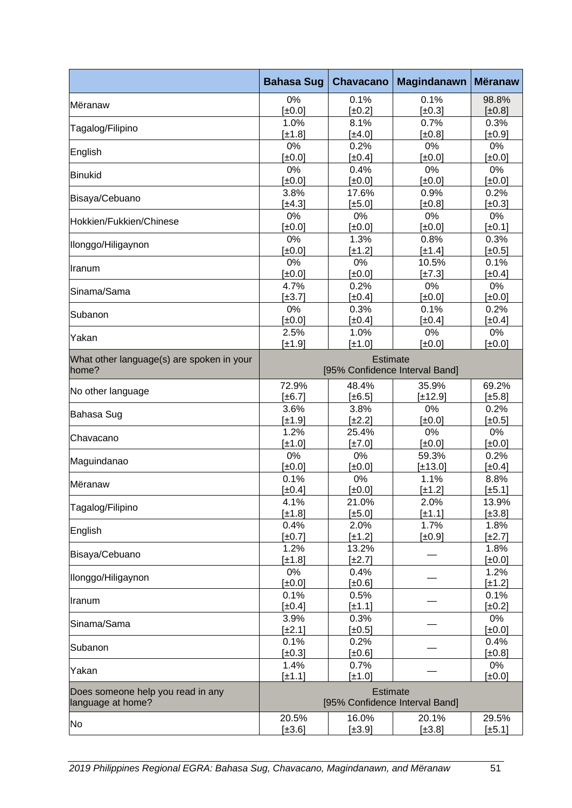|                                                        | <b>Bahasa Sug</b>                                 | <b>Chavacano</b>    | <b>Magindanawn</b>                | <b>Mëranaw</b>      |
|--------------------------------------------------------|---------------------------------------------------|---------------------|-----------------------------------|---------------------|
| Mëranaw                                                | 0%                                                | 0.1%                | 0.1%                              | 98.8%               |
|                                                        | [±0.0]                                            | $[\pm 0.2]$         | $[\pm 0.3]$                       | [±0.8]              |
| Tagalog/Filipino                                       | 1.0%                                              | 8.1%                | 0.7%                              | 0.3%                |
|                                                        | [±1.8]                                            | [±4.0]              | $\pmb{\uparrow}$ $\pmb{\pm}$ 0.8] | $[\pm 0.9]$         |
| English                                                | 0%<br>$\pmb{\pm}0.0$ ]                            | 0.2%<br>$[\pm 0.4]$ | 0%<br>[±0.0]                      | 0%<br>$[\pm 0.0]$   |
|                                                        | 0%                                                | 0.4%                | 0%                                | 0%                  |
| Binukid                                                | $[\pm 0.0]$                                       | [±0.0]              | [±0.0]                            | $[\pm 0.0]$         |
|                                                        | 3.8%                                              | 17.6%               | 0.9%                              | 0.2%                |
| Bisaya/Cebuano                                         | [±4.3]                                            | [±5.0]              | [±0.8]                            | $[\pm 0.3]$         |
| Hokkien/Fukkien/Chinese                                | 0%                                                | 0%                  | 0%                                | 0%                  |
|                                                        | $\pm 0.0$ ]                                       | [±0.0]              | [±0.0]                            | [±0.1]              |
| Ilonggo/Hiligaynon                                     | 0%                                                | 1.3%                | 0.8%                              | 0.3%                |
|                                                        | $\pm 0.0$ ]                                       | [±1.2]              | $[\pm 1.4]$                       | [±0.5]              |
| Iranum                                                 | 0%                                                | 0%                  | 10.5%                             | 0.1%                |
|                                                        | [±0.0]                                            | [±0.0]              | $[\pm 7.3]$                       | $[\pm 0.4]$         |
| Sinama/Sama                                            | 4.7%<br>$[\pm 3.7]$                               | 0.2%<br>$[\pm 0.4]$ | 0%<br>[±0.0]                      | 0%<br>[±0.0]        |
|                                                        | 0%                                                | 0.3%                | 0.1%                              | 0.2%                |
| Subanon                                                | $[\pm 0.0]$                                       | $\pm 0.4$           | $[\pm 0.4]$                       | $[\pm 0.4]$         |
|                                                        | 2.5%                                              | 1.0%                | 0%                                | 0%                  |
| Yakan                                                  | [±1.9]                                            | [±1.0]              | [±0.0]                            | [±0.0]              |
| What other language(s) are spoken in your              | <b>Estimate</b>                                   |                     |                                   |                     |
| home?                                                  | [95% Confidence Interval Band]                    |                     |                                   |                     |
| No other language                                      | 72.9%                                             | 48.4%               | 35.9%                             | 69.2%               |
|                                                        | $\pm 6.7$                                         | $[\pm 6.5]$         | [±12.9]                           | [±5.8]              |
| Bahasa Sug                                             | 3.6%<br>$\pm 1.9$                                 | 3.8%<br>$\pm 2.2$   | 0%<br>[±0.0]                      | 0.2%<br>$[\pm 0.5]$ |
|                                                        | 1.2%                                              | 25.4%               | 0%                                | 0%                  |
| lChavacano                                             | $\pm 1.0$ ]                                       | $\pm 7.0$ ]         | [±0.0]                            | $[\pm 0.0]$         |
|                                                        | 0%                                                | 0%                  | 59.3%                             | 0.2%                |
| Maguindanao                                            | $\pmb{\pm}0.0$ ]                                  | $\pm 0.0$ ]         | [±13.0]                           | $[\pm 0.4]$         |
|                                                        | 0.1%                                              | 0%                  | 1.1%                              | 8.8%                |
| Mëranaw                                                | [ $\pm 0.4$ ]                                     | $[\pm 0.0]$         | [±1.2]                            | $[\pm 5.1]$         |
| Tagalog/Filipino                                       | 4.1%                                              | 21.0%               | 2.0%                              | 13.9%               |
|                                                        | [±1.8]                                            | $[\pm 5.0]$         | $[\pm 1.1]$                       | $[\pm 3.8]$         |
| English                                                | 0.4%                                              | 2.0%                | 1.7%                              | 1.8%                |
|                                                        | $[\pm 0.7]$                                       | $[\pm 1.2]$         | $[\pm 0.9]$                       | $[\pm 2.7]$         |
| Bisaya/Cebuano                                         | 1.2%<br>$\pm 1.8$                                 | 13.2%               |                                   | 1.8%                |
|                                                        | 0%                                                | [±2.7]<br>0.4%      |                                   | $[\pm 0.0]$<br>1.2% |
| Ilonggo/Hiligaynon                                     | [±0.0]                                            | [±0.6]              |                                   | $[\pm 1.2]$         |
|                                                        | 0.1%                                              | 0.5%                |                                   | 0.1%                |
| Iranum                                                 | $[\pm 0.4]$                                       | [±1.1]              |                                   | $\pm 0.2$           |
|                                                        | 3.9%                                              | 0.3%                |                                   | 0%                  |
| Sinama/Sama                                            | $[\pm 2.1]$                                       | [±0.5]              |                                   | [±0.0]              |
| Subanon                                                | 0.1%                                              | 0.2%                |                                   | 0.4%                |
|                                                        | $[\pm 0.3]$                                       | [±0.6]              |                                   | [±0.8]              |
| Yakan                                                  | 1.4%                                              | 0.7%                |                                   | 0%                  |
|                                                        | $[\pm 1.1]$                                       | [±1.0]              |                                   | $[\pm 0.0]$         |
| Does someone help you read in any<br>language at home? | <b>Estimate</b><br>[95% Confidence Interval Band] |                     |                                   |                     |
|                                                        | 20.5%                                             | 16.0%               | 20.1%                             | 29.5%               |
| No                                                     | [±3.6]                                            | [±3.9]              | [±3.8]                            | $[\pm 5.1]$         |
|                                                        |                                                   |                     |                                   |                     |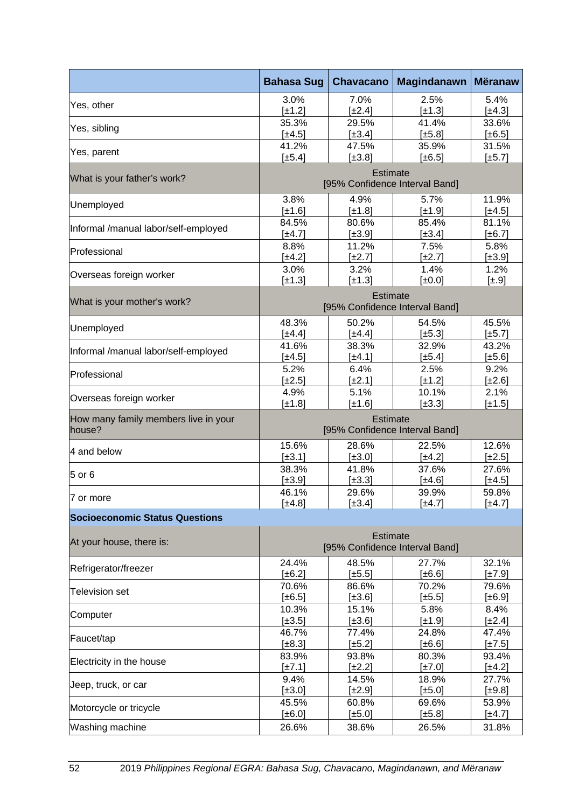|                                                | <b>Bahasa Sug</b>                                 | <b>Chavacano</b>     | <b>Magindanawn</b> | <b>Mëranaw</b>      |
|------------------------------------------------|---------------------------------------------------|----------------------|--------------------|---------------------|
| Yes, other                                     | 3.0%                                              | 7.0%                 | 2.5%               | 5.4%                |
|                                                | $[\pm 1.2]$<br>35.3%                              | $[\pm 2.4]$<br>29.5% | [±1.3]<br>41.4%    | [±4.3]<br>33.6%     |
| Yes, sibling                                   | [±4.5]                                            | $[\pm 3.4]$          | [±5.8]             | [±6.5]              |
|                                                | 41.2%                                             | 47.5%                | 35.9%              | 31.5%               |
| Yes, parent                                    | [±5.4]                                            | [±3.8]               | [±6.5]             | [±5.7]              |
| What is your father's work?                    | Estimate<br>[95% Confidence Interval Band]        |                      |                    |                     |
| Unemployed                                     | 3.8%                                              | 4.9%                 | 5.7%               | 11.9%               |
|                                                | [±1.6]                                            | [±1.8]               | [±1.9]<br>85.4%    | [±4.5]              |
| Informal /manual labor/self-employed           | 84.5%<br>$[\pm 4.7]$                              | 80.6%<br>[±3.9]      | [±3.4]             | 81.1%<br>[±6.7]     |
|                                                | 8.8%                                              | 11.2%                | 7.5%               | 5.8%                |
| Professional                                   | [±4.2]                                            | $[\pm 2.7]$          | $[\pm 2.7]$        | [±3.9]              |
| Overseas foreign worker                        | 3.0%                                              | 3.2%                 | 1.4%               | 1.2%                |
|                                                | [±1.3]                                            | [±1.3]               | [±0.0]             | $[\pm .9]$          |
| What is your mother's work?                    | <b>Estimate</b><br>[95% Confidence Interval Band] |                      |                    |                     |
|                                                | 48.3%                                             | 50.2%                | 54.5%              | 45.5%               |
| Unemployed                                     | [±4.4]                                            | $[\pm 4.4]$          | [±5.3]             | [±5.7]              |
| Informal /manual labor/self-employed           | 41.6%                                             | 38.3%                | 32.9%              | 43.2%               |
|                                                | [±4.5]                                            | [±4.1]               | [±5.4]             | [±5.6]              |
| Professional                                   | 5.2%                                              | 6.4%                 | 2.5%               | 9.2%                |
|                                                | [±2.5]                                            | [±2.1]               | $[\pm 1.2]$        | [±2.6]              |
| Overseas foreign worker                        | 4.9%<br>[±1.8]                                    | 5.1%<br>[±1.6]       | 10.1%<br>[±3.3]    | 2.1%<br>[±1.5]      |
| How many family members live in your<br>house? | <b>Estimate</b><br>[95% Confidence Interval Band] |                      |                    |                     |
|                                                | 15.6%                                             | 28.6%                | 22.5%              | 12.6%               |
| 4 and below                                    | $[\pm 3.1]$                                       | $[\pm 3.0]$          | [±4.2]             | $[\pm 2.5]$         |
| 5 or 6                                         | 38.3%                                             | 41.8%                | 37.6%              | 27.6%               |
|                                                | [±3.9]                                            | [±3.3]               | [±4.6]             | [±4.5]              |
| 7 or more                                      | 46.1%                                             | 29.6%                | 39.9%              | 59.8%               |
|                                                | [±4.8]                                            | [±3.4]               | $[\pm 4.7]$        | [±4.7]              |
| <b>Socioeconomic Status Questions</b>          |                                                   |                      |                    |                     |
| At your house, there is:                       | <b>Estimate</b><br>[95% Confidence Interval Band] |                      |                    |                     |
| Refrigerator/freezer                           | 24.4%                                             | 48.5%                | 27.7%              | 32.1%               |
|                                                | [±6.2]                                            | $[\pm 5.5]$          | [±6.6]             | [±7.9]              |
| <b>Television set</b>                          | 70.6%                                             | 86.6%                | 70.2%              | 79.6%               |
|                                                | $[\pm 6.5]$<br>10.3%                              | $[\pm 3.6]$<br>15.1% | [±5.5]<br>5.8%     | $[\pm 6.9]$<br>8.4% |
| Computer                                       | $[\pm 3.5]$                                       | $[\pm 3.6]$          | [±1.9]             | $[\pm 2.4]$         |
|                                                | 46.7%                                             | 77.4%                | 24.8%              | 47.4%               |
| Faucet/tap                                     | $[\pm 8.3]$                                       | $\pm 5.2$            | $[\pm 6.6]$        | $[\pm 7.5]$         |
| Electricity in the house                       | 83.9%                                             | 93.8%                | 80.3%              | 93.4%               |
|                                                | $[\pm 7.1]$                                       | $\pm 2.2$ ]          | $[\pm 7.0]$        | [±4.2]              |
| Jeep, truck, or car                            | 9.4%                                              | 14.5%                | 18.9%              | 27.7%               |
|                                                | $[\pm 3.0]$                                       | $[\pm 2.9]$          | $[\pm 5.0]$        | $[\pm 9.8]$         |
| Motorcycle or tricycle                         | 45.5%                                             | 60.8%                | 69.6%              | 53.9%               |
|                                                | $[\pm 6.0]$                                       | $[\pm 5.0]$          | [±5.8]             | [±4.7]              |
| Washing machine                                | 26.6%                                             | 38.6%                | 26.5%              | 31.8%               |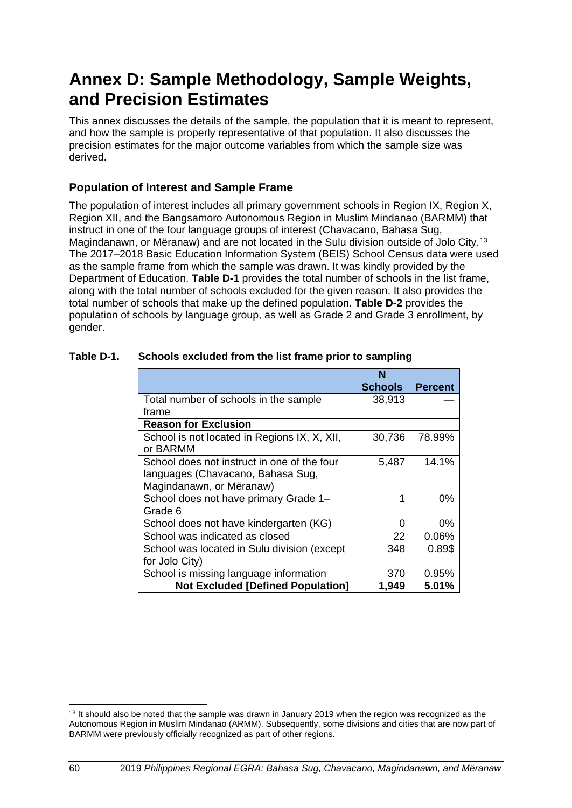# **Annex D: Sample Methodology, Sample Weights, and Precision Estimates**

This annex discusses the details of the sample, the population that it is meant to represent, and how the sample is properly representative of that population. It also discusses the precision estimates for the major outcome variables from which the sample size was derived.

# **Population of Interest and Sample Frame**

The population of interest includes all primary government schools in Region IX, Region X, Region XII, and the Bangsamoro Autonomous Region in Muslim Mindanao (BARMM) that instruct in one of the four language groups of interest (Chavacano, Bahasa Sug, Magindanawn, or Mëranaw) and are not located in the Sulu division outside of Jolo City.[13](#page-67-0) The 2017–2018 Basic Education Information System (BEIS) School Census data were used as the sample frame from which the sample was drawn. It was kindly provided by the Department of Education. **Table D-1** provides the total number of schools in the list frame, along with the total number of schools excluded for the given reason. It also provides the total number of schools that make up the defined population. **Table D-2** provides the population of schools by language group, as well as Grade 2 and Grade 3 enrollment, by gender.

|                                              | N              |                |
|----------------------------------------------|----------------|----------------|
|                                              | <b>Schools</b> | <b>Percent</b> |
| Total number of schools in the sample        | 38,913         |                |
| frame                                        |                |                |
| <b>Reason for Exclusion</b>                  |                |                |
| School is not located in Regions IX, X, XII, | 30,736         | 78.99%         |
| or BARMM                                     |                |                |
| School does not instruct in one of the four  | 5,487          | 14.1%          |
| languages (Chavacano, Bahasa Sug,            |                |                |
| Magindanawn, or Mëranaw)                     |                |                |
| School does not have primary Grade 1-        |                | 0%             |
| Grade 6                                      |                |                |
| School does not have kindergarten (KG)       | ი              | 0%             |
| School was indicated as closed               | 22             | 0.06%          |
| School was located in Sulu division (except  | 348            | 0.89\$         |
| for Jolo City)                               |                |                |
| School is missing language information       | 370            | 0.95%          |
| <b>Not Excluded [Defined Population]</b>     | 1,949          | 5.01%          |

## **Table D-1. Schools excluded from the list frame prior to sampling**

<span id="page-67-0"></span><sup>&</sup>lt;sup>13</sup> It should also be noted that the sample was drawn in January 2019 when the region was recognized as the Autonomous Region in Muslim Mindanao (ARMM). Subsequently, some divisions and cities that are now part of BARMM were previously officially recognized as part of other regions.